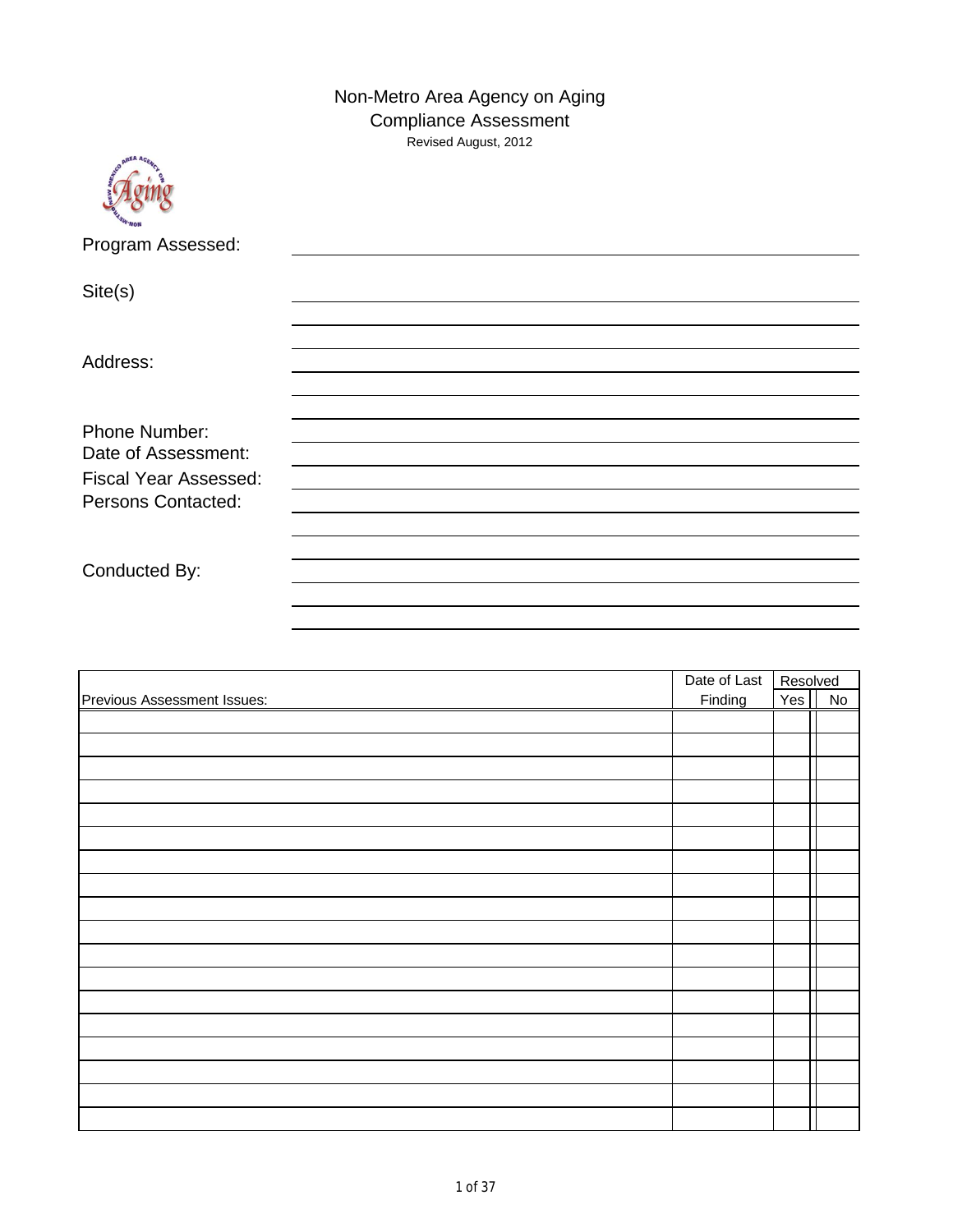Non-Metro Area Agency on Aging Compliance Assessment Revised August, 2012



Program Assessed:

Site(s)

Address:

Phone Number: Date of Assessment: Fiscal Year Assessed: Persons Contacted:

Conducted By:

|                                    | Date of Last<br>Finding | Resolved |           |
|------------------------------------|-------------------------|----------|-----------|
| <b>Previous Assessment Issues:</b> |                         | Yes      | <b>No</b> |
|                                    |                         |          |           |
|                                    |                         |          |           |
|                                    |                         |          |           |
|                                    |                         |          |           |
|                                    |                         |          |           |
|                                    |                         |          |           |
|                                    |                         |          |           |
|                                    |                         |          |           |
|                                    |                         |          |           |
|                                    |                         |          |           |
|                                    |                         |          |           |
|                                    |                         |          |           |
|                                    |                         |          |           |
|                                    |                         |          |           |
|                                    |                         |          |           |
|                                    |                         |          |           |
|                                    |                         |          |           |
|                                    |                         |          |           |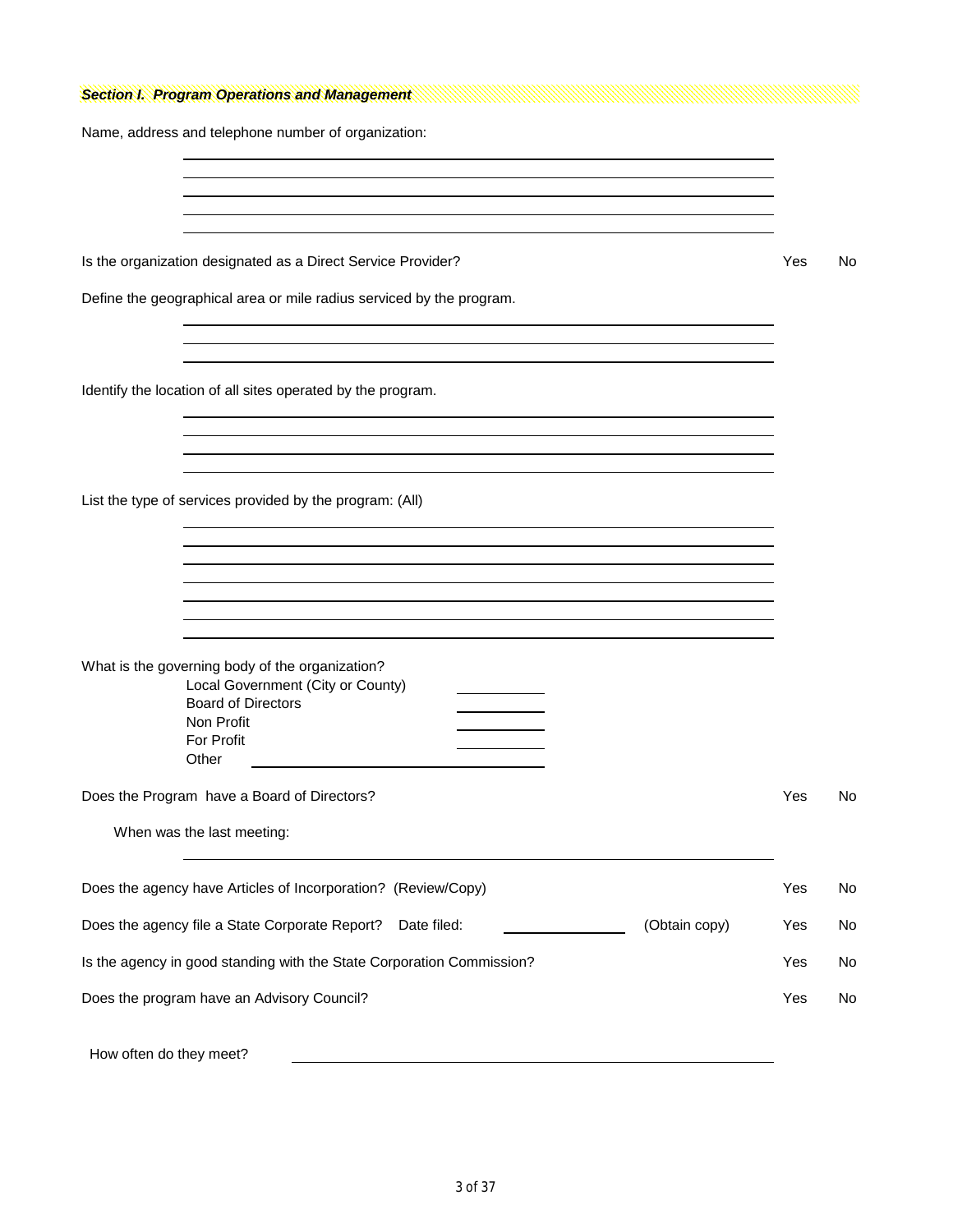|  |  |  | <b>Section I. Program Operations and Management</b> |  |
|--|--|--|-----------------------------------------------------|--|
|--|--|--|-----------------------------------------------------|--|

Name, address and telephone number of organization:

Is the organization designated as a Direct Service Provider? The Manuscript Control of the North Control of No

Define the geographical area or mile radius serviced by the program.

Identify the location of all sites operated by the program.

List the type of services provided by the program: (All)

| What is the governing body of the organization?<br>Local Government (City or County)<br><b>Board of Directors</b><br>Non Profit<br><b>For Profit</b><br>Other |     |    |
|---------------------------------------------------------------------------------------------------------------------------------------------------------------|-----|----|
| Does the Program have a Board of Directors?                                                                                                                   | Yes | No |
| When was the last meeting:                                                                                                                                    |     |    |
| Does the agency have Articles of Incorporation? (Review/Copy)                                                                                                 | Yes | No |
| Does the agency file a State Corporate Report?<br>(Obtain copy)<br>Date filed:                                                                                | Yes | No |
| Is the agency in good standing with the State Corporation Commission?                                                                                         | Yes | No |
| Does the program have an Advisory Council?                                                                                                                    | Yes | No |
| How often do they meet?                                                                                                                                       |     |    |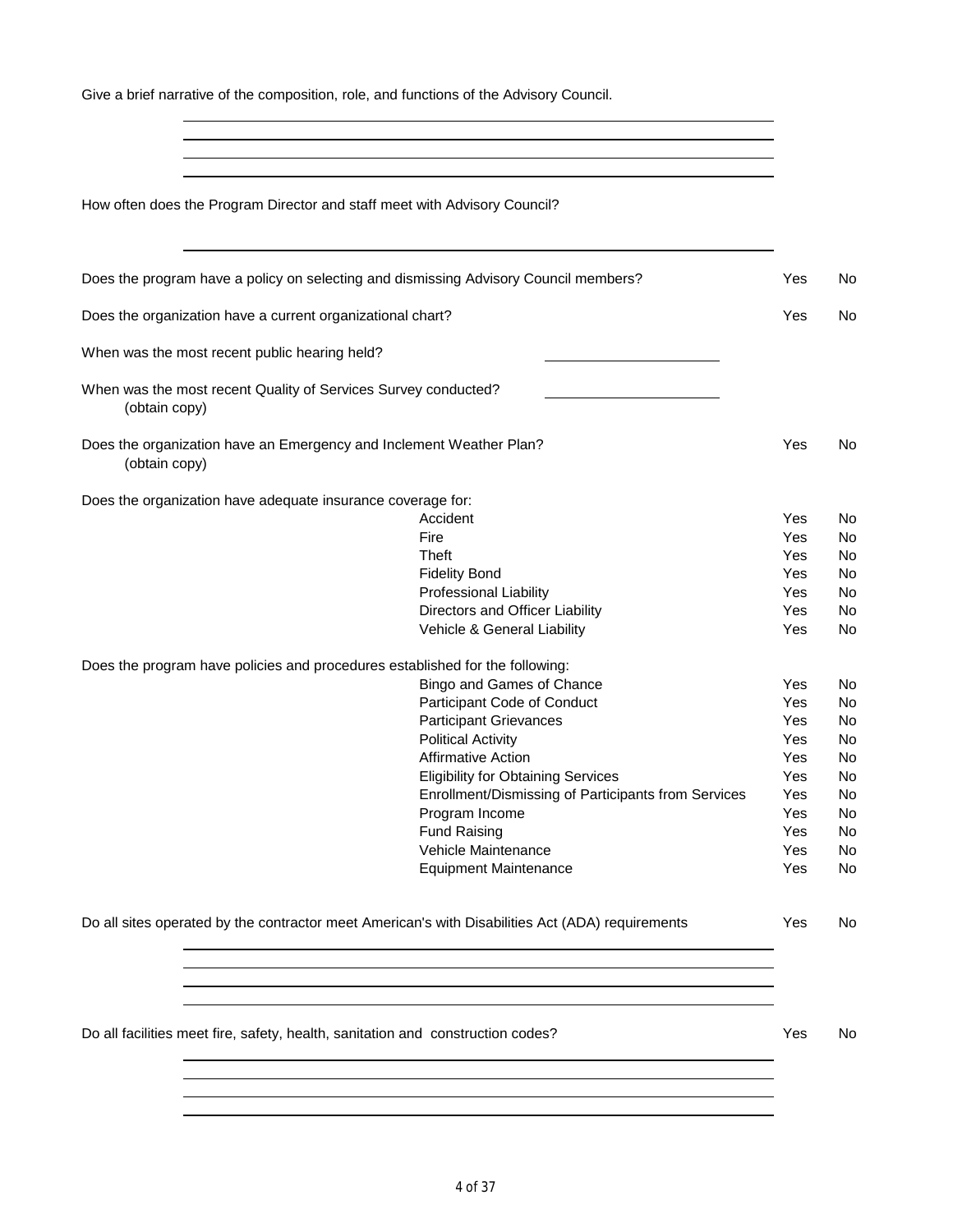Give a brief narrative of the composition, role, and functions of the Advisory Council.

How often does the Program Director and staff meet with Advisory Council?

| Does the program have a policy on selecting and dismissing Advisory Council members? |                                                                                                  | Yes | No |
|--------------------------------------------------------------------------------------|--------------------------------------------------------------------------------------------------|-----|----|
| Does the organization have a current organizational chart?                           |                                                                                                  | Yes | No |
| When was the most recent public hearing held?                                        |                                                                                                  |     |    |
| When was the most recent Quality of Services Survey conducted?<br>(obtain copy)      |                                                                                                  |     |    |
| Does the organization have an Emergency and Inclement Weather Plan?<br>(obtain copy) |                                                                                                  | Yes | No |
| Does the organization have adequate insurance coverage for:                          |                                                                                                  |     |    |
|                                                                                      | Accident                                                                                         | Yes | No |
|                                                                                      | Fire                                                                                             | Yes | No |
|                                                                                      | Theft                                                                                            | Yes | No |
|                                                                                      | <b>Fidelity Bond</b>                                                                             | Yes | No |
|                                                                                      | <b>Professional Liability</b>                                                                    | Yes | No |
|                                                                                      | Directors and Officer Liability                                                                  | Yes | No |
|                                                                                      | Vehicle & General Liability                                                                      | Yes | No |
| Does the program have policies and procedures established for the following:         |                                                                                                  |     |    |
|                                                                                      | Bingo and Games of Chance                                                                        | Yes | No |
|                                                                                      | Participant Code of Conduct                                                                      | Yes | No |
|                                                                                      | <b>Participant Grievances</b>                                                                    | Yes | No |
|                                                                                      | <b>Political Activity</b>                                                                        | Yes | No |
|                                                                                      | <b>Affirmative Action</b>                                                                        | Yes | No |
|                                                                                      | <b>Eligibility for Obtaining Services</b>                                                        | Yes | No |
|                                                                                      | Enrollment/Dismissing of Participants from Services                                              | Yes | No |
|                                                                                      | Program Income                                                                                   | Yes | No |
|                                                                                      | <b>Fund Raising</b>                                                                              | Yes | No |
|                                                                                      | Vehicle Maintenance                                                                              | Yes | No |
|                                                                                      | <b>Equipment Maintenance</b>                                                                     | Yes | No |
|                                                                                      | Do all sites operated by the contractor meet American's with Disabilities Act (ADA) requirements | Yes | No |
|                                                                                      |                                                                                                  |     |    |
|                                                                                      |                                                                                                  |     |    |
|                                                                                      |                                                                                                  |     |    |
| Do all facilities meet fire, safety, health, sanitation and construction codes?      |                                                                                                  | Yes | No |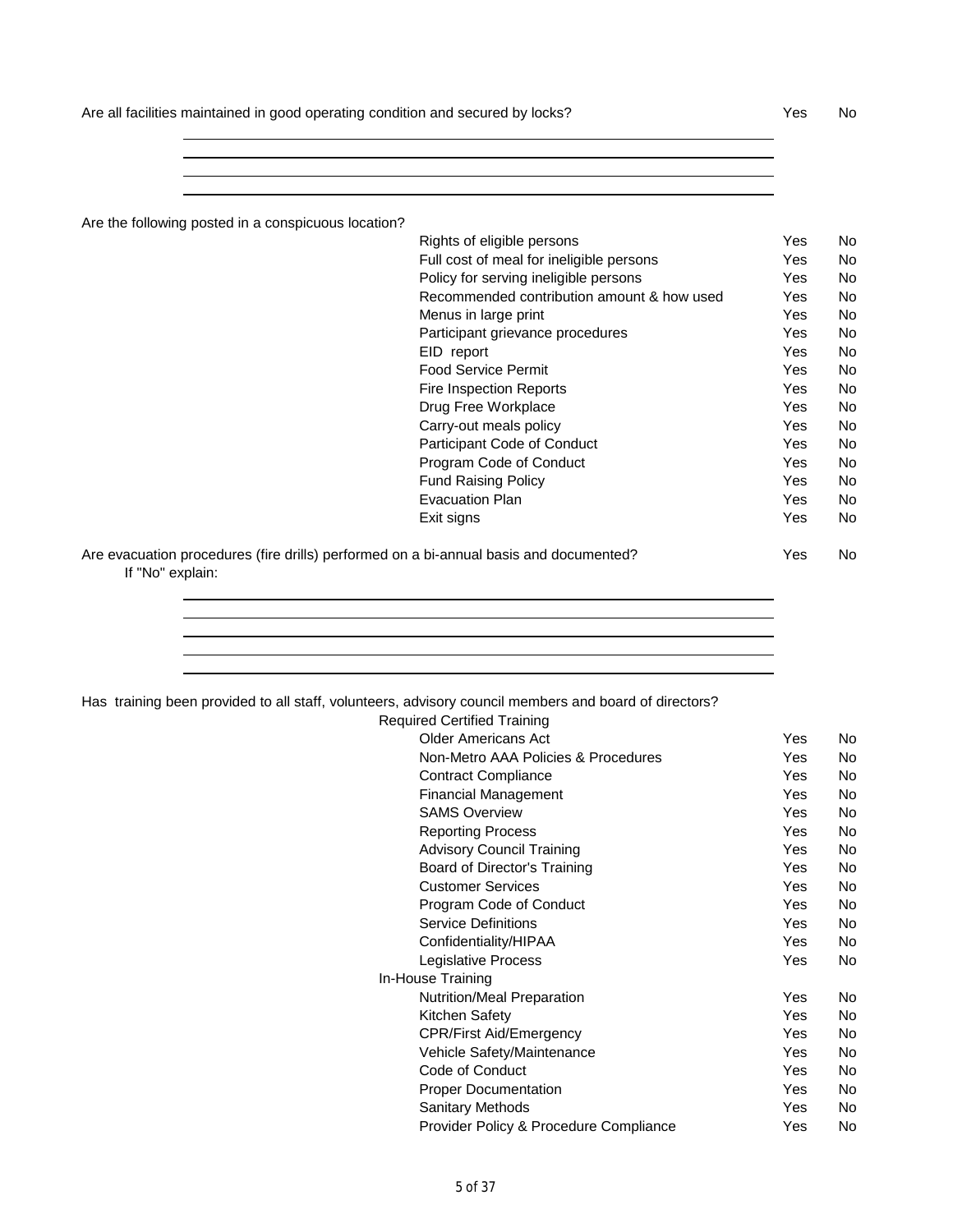Are all facilities maintained in good operating condition and secured by locks? Yes No

Are the following posted in a conspicuous location?

|                                                                                        | Rights of eligible persons                 | Yes | No |
|----------------------------------------------------------------------------------------|--------------------------------------------|-----|----|
|                                                                                        | Full cost of meal for ineligible persons   | Yes | No |
|                                                                                        | Policy for serving ineligible persons      | Yes | No |
|                                                                                        | Recommended contribution amount & how used | Yes | No |
|                                                                                        | Menus in large print                       | Yes | No |
|                                                                                        | Participant grievance procedures           | Yes | No |
|                                                                                        | EID report                                 | Yes | No |
|                                                                                        | <b>Food Service Permit</b>                 | Yes | No |
|                                                                                        | <b>Fire Inspection Reports</b>             | Yes | No |
|                                                                                        | Drug Free Workplace                        | Yes | No |
|                                                                                        | Carry-out meals policy                     | Yes | No |
|                                                                                        | Participant Code of Conduct                | Yes | No |
|                                                                                        | Program Code of Conduct                    | Yes | No |
|                                                                                        | <b>Fund Raising Policy</b>                 | Yes | No |
|                                                                                        | <b>Evacuation Plan</b>                     | Yes | No |
|                                                                                        | Exit signs                                 | Yes | No |
| Are evacuation procedures (fire drills) performed on a bi-annual basis and documented? |                                            | Yes | No |

If "No" explain:

|  |  |  |  |  |  | Has training been provided to all staff, volunteers, advisory council members and board of directors? |
|--|--|--|--|--|--|-------------------------------------------------------------------------------------------------------|
|--|--|--|--|--|--|-------------------------------------------------------------------------------------------------------|

| <b>Required Certified Training</b>     |     |     |
|----------------------------------------|-----|-----|
| <b>Older Americans Act</b>             | Yes | No. |
| Non-Metro AAA Policies & Procedures    | Yes | No. |
| <b>Contract Compliance</b>             | Yes | No. |
| <b>Financial Management</b>            | Yes | No. |
| <b>SAMS Overview</b>                   | Yes | No. |
| <b>Reporting Process</b>               | Yes | No. |
| <b>Advisory Council Training</b>       | Yes | No. |
| Board of Director's Training           | Yes | No. |
| <b>Customer Services</b>               | Yes | No. |
| Program Code of Conduct                | Yes | No. |
| <b>Service Definitions</b>             | Yes | No. |
| Confidentiality/HIPAA                  | Yes | No. |
| Legislative Process                    | Yes | No. |
| In-House Training                      |     |     |
| Nutrition/Meal Preparation             | Yes | No. |
| Kitchen Safety                         | Yes | No. |
| <b>CPR/First Aid/Emergency</b>         | Yes | No. |
| Vehicle Safety/Maintenance             | Yes | No. |
| Code of Conduct                        | Yes | No. |
| <b>Proper Documentation</b>            | Yes | No. |
| <b>Sanitary Methods</b>                | Yes | No. |
| Provider Policy & Procedure Compliance | Yes | No. |
|                                        |     |     |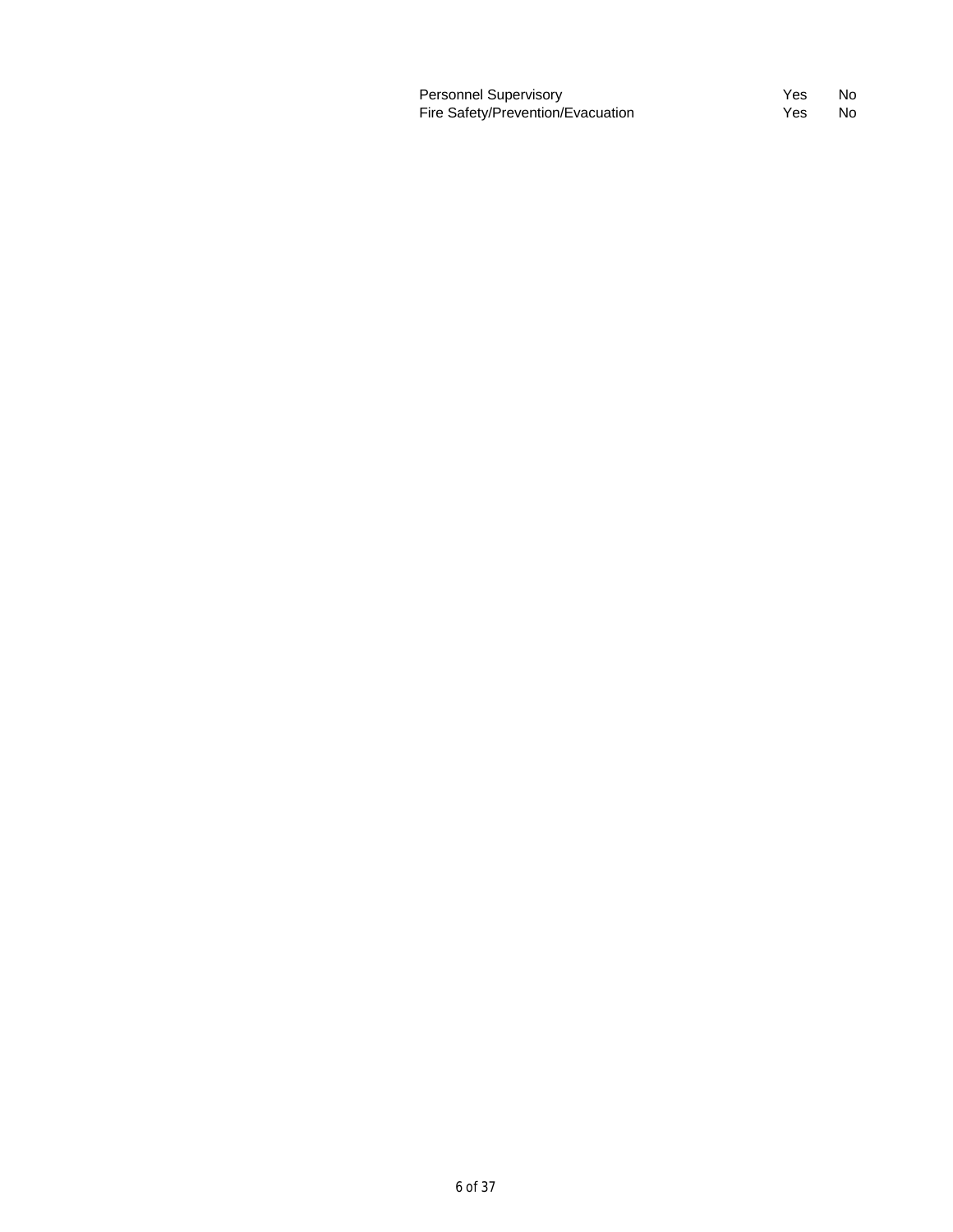| Personnel Supervisory             | Yes | - No |
|-----------------------------------|-----|------|
| Fire Safety/Prevention/Evacuation | Yes | - No |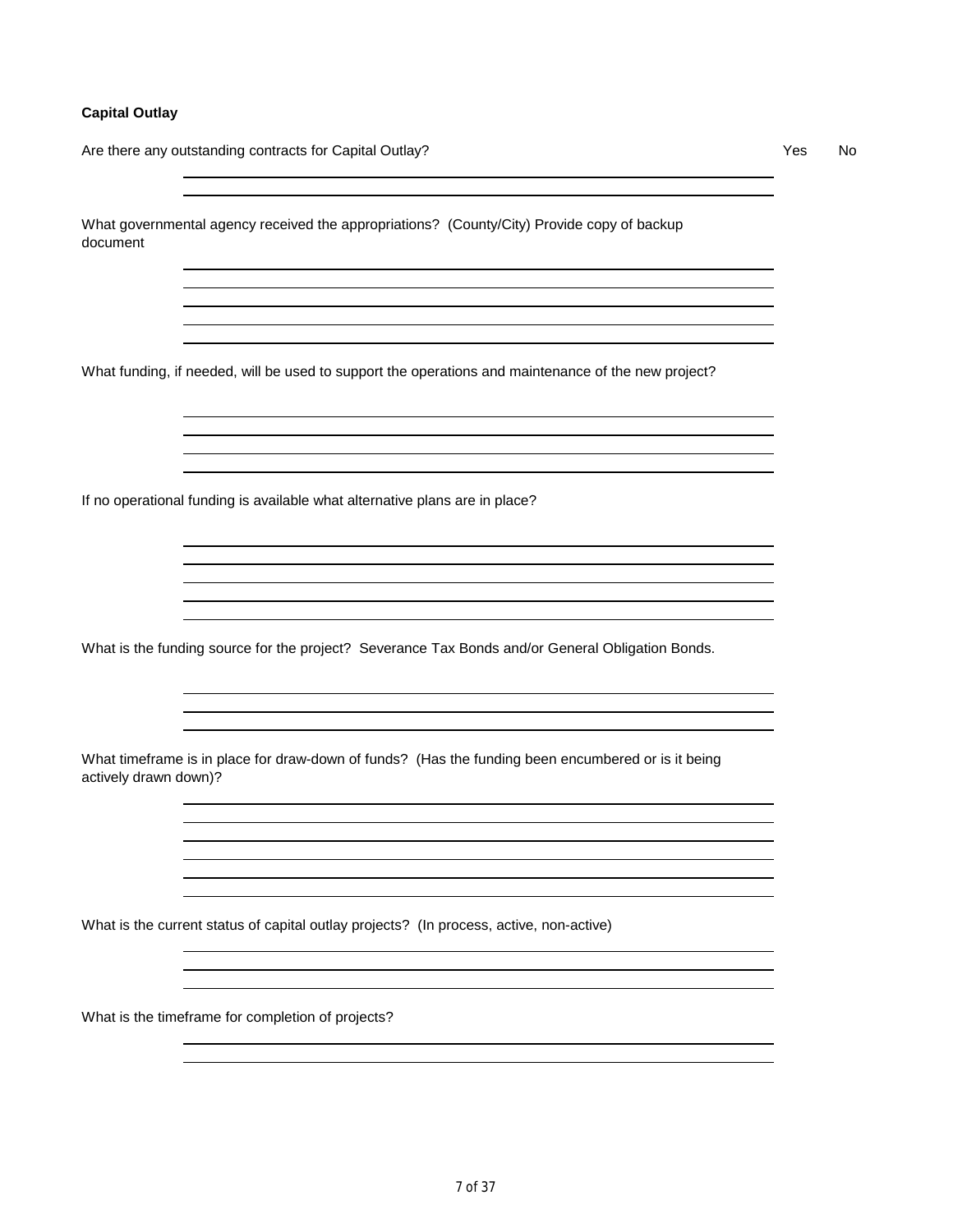#### **Capital Outlay**

Are there any outstanding contracts for Capital Outlay? 
<br>
Are there any outstanding contracts for Capital Outlay?

What governmental agency received the appropriations? (County/City) Provide copy of backup document

What funding, if needed, will be used to support the operations and maintenance of the new project?

If no operational funding is available what alternative plans are in place?

What is the funding source for the project? Severance Tax Bonds and/or General Obligation Bonds.

What timeframe is in place for draw-down of funds? (Has the funding been encumbered or is it being actively drawn down)?

What is the current status of capital outlay projects? (In process, active, non-active)

What is the timeframe for completion of projects?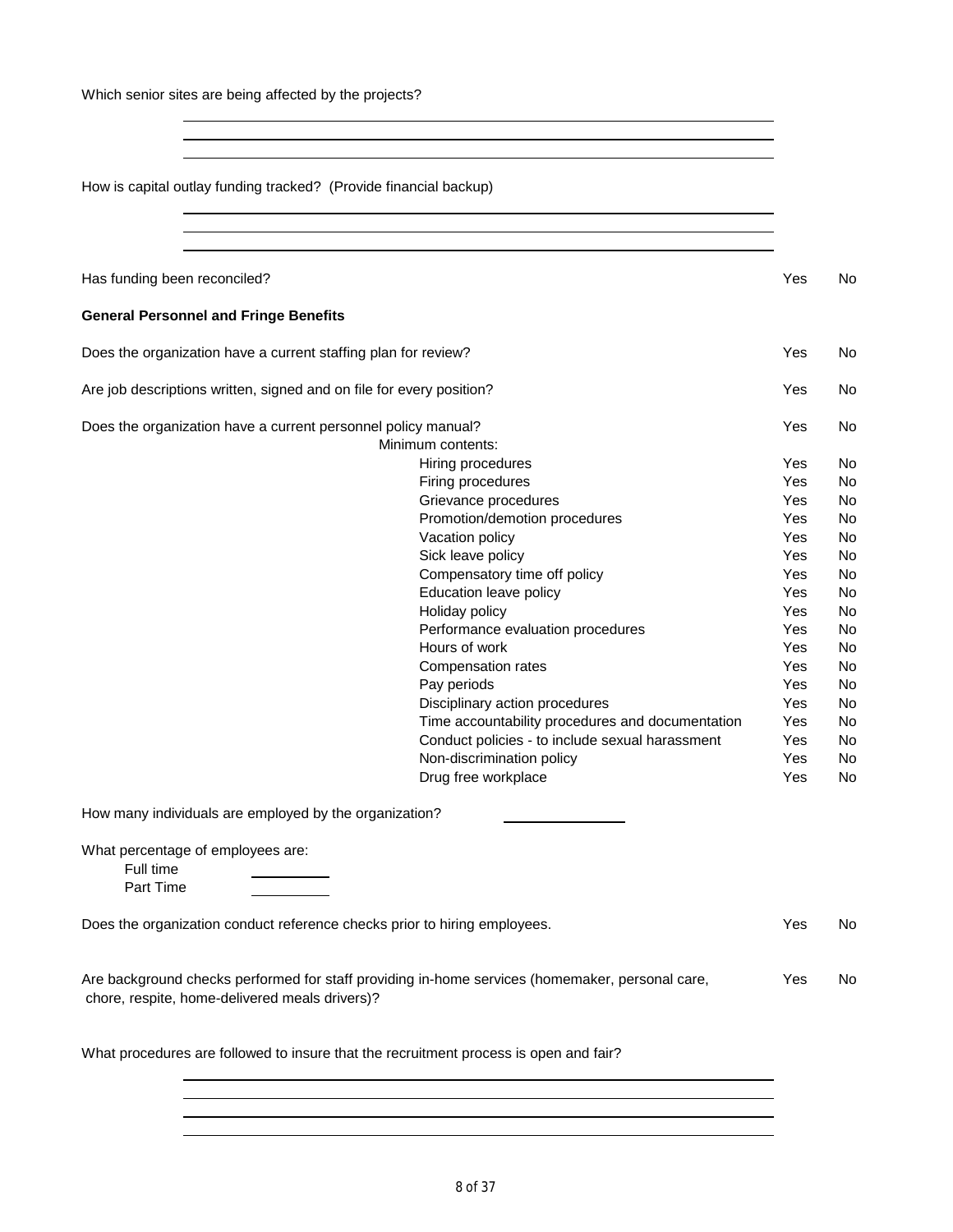Which senior sites are being affected by the projects?

How is capital outlay funding tracked? (Provide financial backup) Has funding been reconciled? Yes No **General Personnel and Fringe Benefits** Does the organization have a current staffing plan for review? The Most Controller and Most Controller No No No Are job descriptions written, signed and on file for every position? The North Control of the North Control of No Does the organization have a current personnel policy manual? The North Control of the Ves North North North North North North North North North North North North North North North North North North North North North North Minimum contents: Hiring procedures No. 2006 No. 2016 No. 2016 No. 2016 No. 2016 No. 2016 No. 2017 No. 2016 No. 2017 No. 2017 No Firing procedures No. 2006 No. 2012 12:30 No. 2013 Grievance procedures No and Series No and Yes No Promotion/demotion procedures The Monte Yes No Vacation policy **Yes** No Sick leave policy and the set of the Sick leave policy of the Sick Leave of the Sick Leave of the Sick Leave Compensatory time off policy **Yes** No Education leave policy and the Monte Yes No Holiday policy **No. 2018** No. 2019 No. 2019 No. 2019 No. 2019 No. 2019 No. 2019 No. 2019 No. 2019 No. 2019 No. 2019 No. 2019 No. 2019 No. 2019 No. 2019 No. 2019 No. 2019 No. 2019 No. 2019 No. 2019 No. 2019 No. 2019 No. 201 Performance evaluation procedures Theorem No Hours of work No. 2008 No. 2012 12:30 No. 2013 No. 2014 No. 2014 No. 2014 No. 2014 No. 2014 No. 2014 No. 2014 No. 2014 No. 2014 No. 2014 No. 2014 No. 2014 No. 2014 No. 2014 No. 2014 No. 2014 No. 2014 No. 2014 No. 2014 No. Compensation rates **Yes** No Pay periods Yes No Disciplinary action procedures The Monte Yes No Time accountability procedures and documentation Yes No Conduct policies - to include sexual harassment Yes No<br>Non-discrimination policy<br>Non-discrimination policy Non-discrimination policy **No. 2018** Yes No. Drug free workplace Yes No How many individuals are employed by the organization? What percentage of employees are: Full time Part Time Does the organization conduct reference checks prior to hiring employees. The Most Checks No Are background checks performed for staff providing in-home services (homemaker, personal care, Yes No chore, respite, home-delivered meals drivers)? What procedures are followed to insure that the recruitment process is open and fair?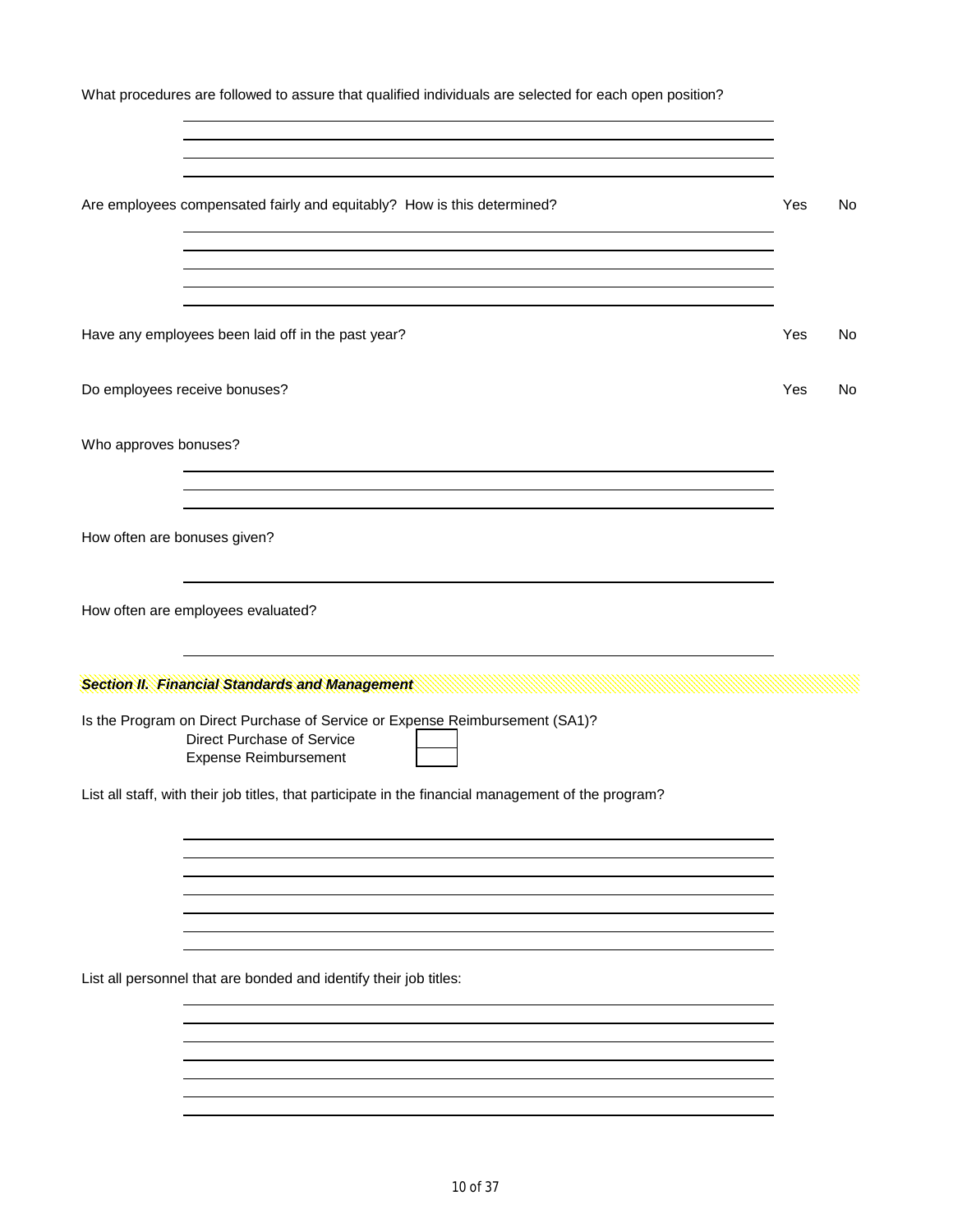What procedures are followed to assure that qualified individuals are selected for each open position?

| Are employees compensated fairly and equitably? How is this determined?                                                                    | Yes | No |
|--------------------------------------------------------------------------------------------------------------------------------------------|-----|----|
|                                                                                                                                            |     |    |
| Have any employees been laid off in the past year?                                                                                         | Yes | No |
| Do employees receive bonuses?                                                                                                              | Yes | No |
| Who approves bonuses?                                                                                                                      |     |    |
| How often are bonuses given?                                                                                                               |     |    |
| How often are employees evaluated?                                                                                                         |     |    |
|                                                                                                                                            |     |    |
| <b>Section II. Financial Standards and Management</b>                                                                                      |     |    |
| Is the Program on Direct Purchase of Service or Expense Reimbursement (SA1)?<br>Direct Purchase of Service<br><b>Expense Reimbursement</b> |     |    |
| List all staff, with their job titles, that participate in the financial management of the program?                                        |     |    |
|                                                                                                                                            |     |    |
|                                                                                                                                            |     |    |
| List all personnel that are bonded and identify their job titles:                                                                          |     |    |
|                                                                                                                                            |     |    |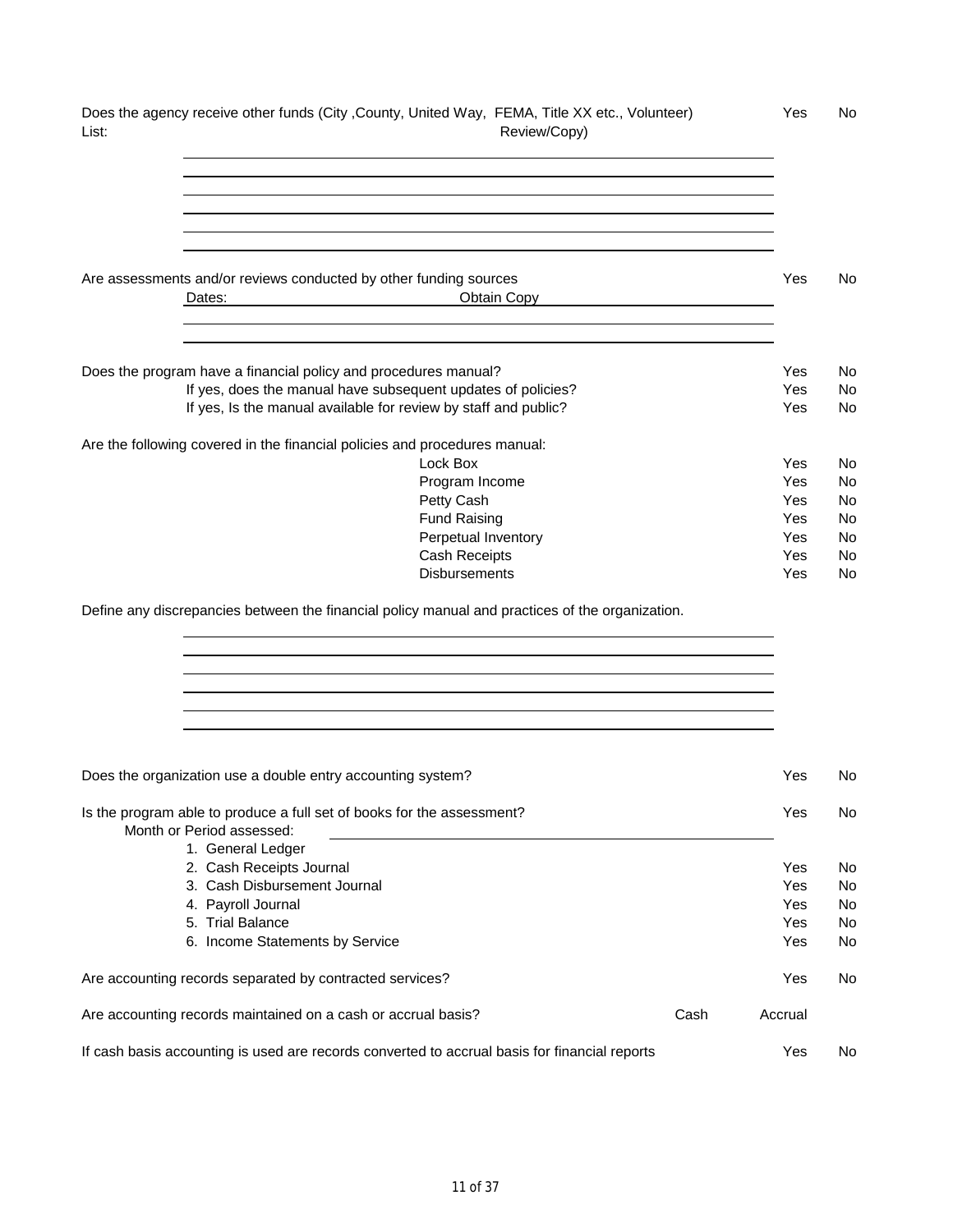| Does the agency receive other funds (City , County, United Way, FEMA, Title XX etc., Volunteer)<br>Review/Copy)<br>List:        |      | Yes        | No       |
|---------------------------------------------------------------------------------------------------------------------------------|------|------------|----------|
|                                                                                                                                 |      |            |          |
|                                                                                                                                 |      |            |          |
| Are assessments and/or reviews conducted by other funding sources<br>Obtain Copy<br>Dates:                                      |      | Yes        | No.      |
| Does the program have a financial policy and procedures manual?                                                                 |      | Yes        | No.      |
| If yes, does the manual have subsequent updates of policies?<br>If yes, Is the manual available for review by staff and public? |      | Yes<br>Yes | No<br>No |
| Are the following covered in the financial policies and procedures manual:                                                      |      |            |          |
| Lock Box                                                                                                                        |      | Yes        | No       |
| Program Income                                                                                                                  |      | Yes        | No       |
| Petty Cash                                                                                                                      |      | Yes        | No       |
| <b>Fund Raising</b>                                                                                                             |      | Yes        | No       |
| Perpetual Inventory<br>Cash Receipts                                                                                            |      | Yes<br>Yes | No<br>No |
| <b>Disbursements</b>                                                                                                            |      | Yes        | No       |
|                                                                                                                                 |      |            |          |
| Does the organization use a double entry accounting system?                                                                     |      | Yes        | No       |
| Is the program able to produce a full set of books for the assessment?<br>Month or Period assessed:                             |      | Yes        | No       |
| 1. General Ledger                                                                                                               |      |            |          |
| 2. Cash Receipts Journal                                                                                                        |      | Yes        | No.      |
| 3. Cash Disbursement Journal                                                                                                    |      | Yes        | No       |
| 4. Payroll Journal                                                                                                              |      | Yes        | No       |
| 5. Trial Balance<br>6. Income Statements by Service                                                                             |      | Yes<br>Yes | No<br>No |
|                                                                                                                                 |      |            |          |
| Are accounting records separated by contracted services?                                                                        |      | Yes        | No.      |
| Are accounting records maintained on a cash or accrual basis?                                                                   | Cash | Accrual    |          |
| If cash basis accounting is used are records converted to accrual basis for financial reports                                   |      | Yes        | No       |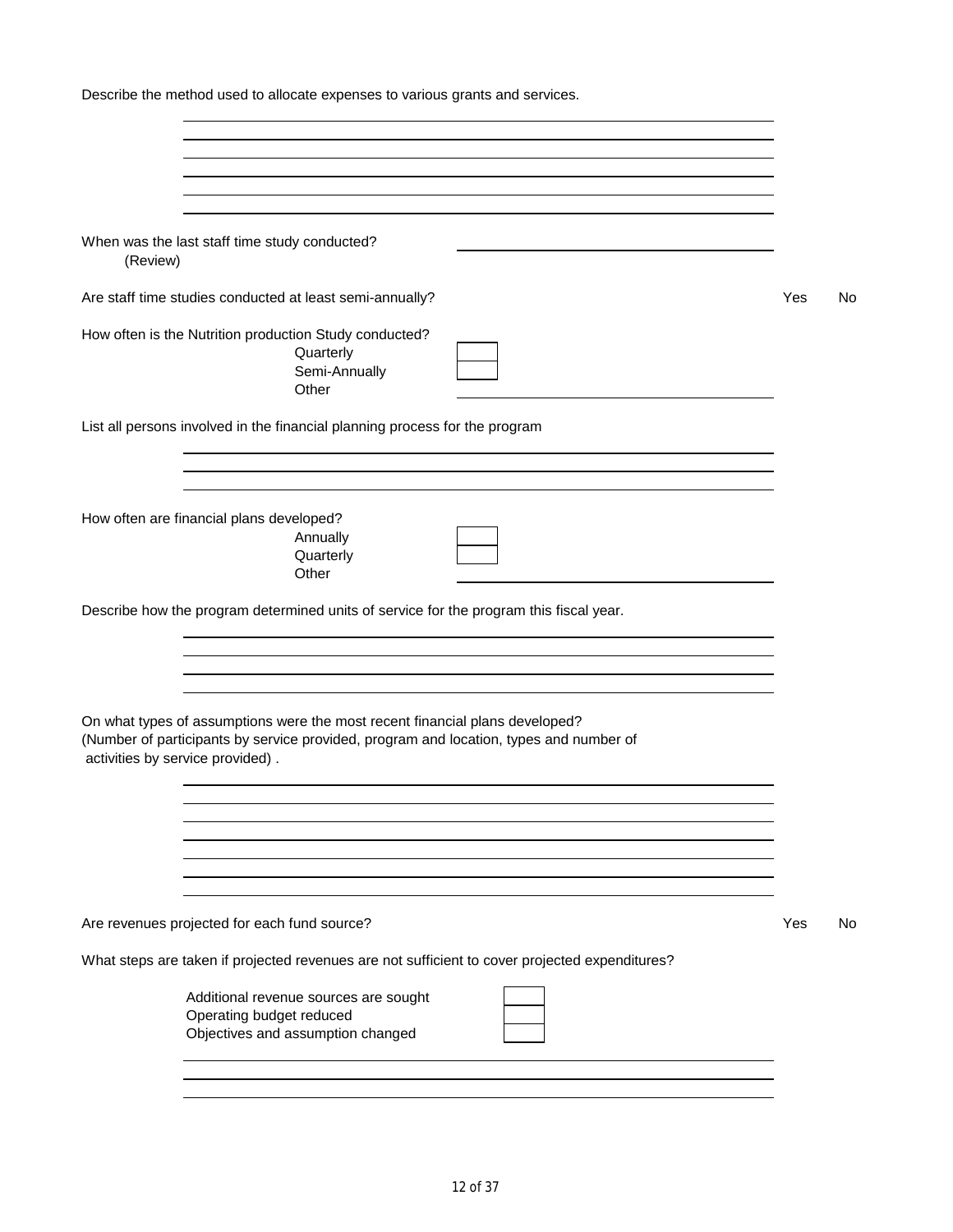| Describe the method used to allocate expenses to various grants and services.                                                                                                                              |     |    |
|------------------------------------------------------------------------------------------------------------------------------------------------------------------------------------------------------------|-----|----|
|                                                                                                                                                                                                            |     |    |
| ,我们也不会有什么。""我们的人,我们也不会有什么?""我们的人,我们也不会有什么?""我们的人,我们也不会有什么?""我们的人,我们也不会有什么?""我们的人                                                                                                                           |     |    |
| When was the last staff time study conducted?<br>(Review)                                                                                                                                                  |     |    |
| Are staff time studies conducted at least semi-annually?                                                                                                                                                   | Yes | No |
| How often is the Nutrition production Study conducted?<br>Quarterly<br>Semi-Annually<br>Other                                                                                                              |     |    |
| List all persons involved in the financial planning process for the program                                                                                                                                |     |    |
| and the control of the control of the control of the control of the control of the control of the control of the<br>How often are financial plans developed?<br>Annually<br>Quarterly                      |     |    |
| Other<br>Describe how the program determined units of service for the program this fiscal year.                                                                                                            |     |    |
| and the control of the control of the control of the control of the control of the control of the control of the                                                                                           |     |    |
| On what types of assumptions were the most recent financial plans developed?<br>(Number of participants by service provided, program and location, types and number of<br>activities by service provided). |     |    |
|                                                                                                                                                                                                            |     |    |
|                                                                                                                                                                                                            |     |    |
| Are revenues projected for each fund source?                                                                                                                                                               | Yes | No |
| What steps are taken if projected revenues are not sufficient to cover projected expenditures?                                                                                                             |     |    |
| Additional revenue sources are sought<br>Operating budget reduced<br>Objectives and assumption changed                                                                                                     |     |    |
|                                                                                                                                                                                                            |     |    |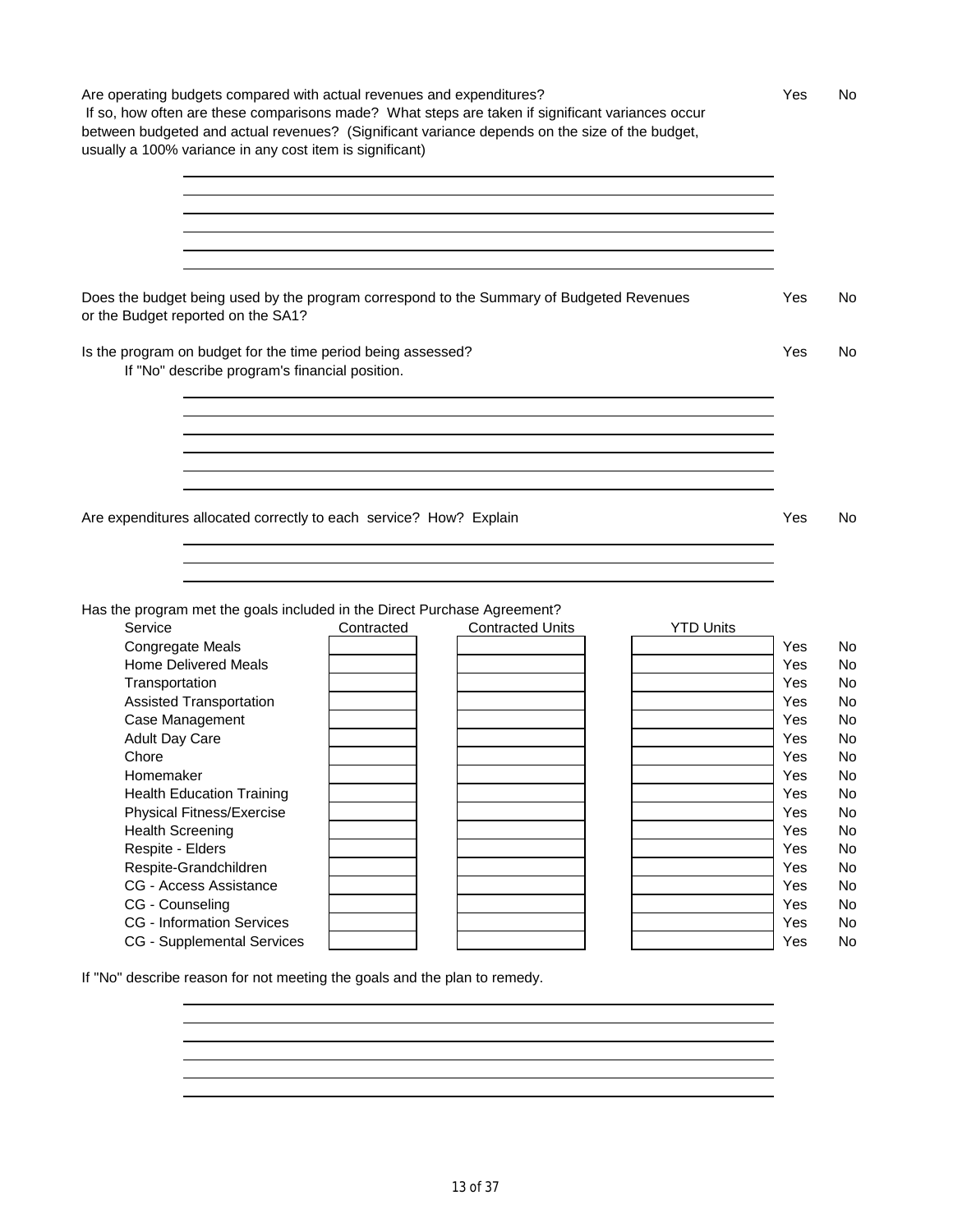Are operating budgets compared with actual revenues and expenditures? The Most Comparent Mess No If so, how often are these comparisons made? What steps are taken if significant variances occur between budgeted and actual revenues? (Significant variance depends on the size of the budget, usually a 100% variance in any cost item is significant) 

Does the budget being used by the program correspond to the Summary of Budgeted Revenues Yes No or the Budget reported on the SA1?

Is the program on budget for the time period being assessed? The Most Constanting Manual Constanting Manual Constanting Manual Constanting Manual Constanting Manual Constanting Manual Constanting Manual Constanting Manual

If "No" describe program's financial position.

Are expenditures allocated correctly to each service? How? Explain  $\blacksquare$  The State State State State No

Has the program met the goals included in the Direct Purchase Agreement?

| Service                           | Contracted | <b>Contracted Units</b> | <b>YTD Units</b> |     |    |
|-----------------------------------|------------|-------------------------|------------------|-----|----|
| <b>Congregate Meals</b>           |            |                         |                  | Yes | No |
| <b>Home Delivered Meals</b>       |            |                         |                  | Yes | No |
| Transportation                    |            |                         |                  | Yes | No |
| Assisted Transportation           |            |                         |                  | Yes | No |
| Case Management                   |            |                         |                  | Yes | No |
| <b>Adult Day Care</b>             |            |                         |                  | Yes | No |
| Chore                             |            |                         |                  | Yes | No |
| Homemaker                         |            |                         |                  | Yes | No |
| <b>Health Education Training</b>  |            |                         |                  | Yes | No |
| Physical Fitness/Exercise         |            |                         |                  | Yes | No |
| <b>Health Screening</b>           |            |                         |                  | Yes | No |
| Respite - Elders                  |            |                         |                  | Yes | No |
| Respite-Grandchildren             |            |                         |                  | Yes | No |
| CG - Access Assistance            |            |                         |                  | Yes | No |
| CG - Counseling                   |            |                         |                  | Yes | No |
| <b>CG</b> - Information Services  |            |                         |                  | Yes | No |
| <b>CG</b> - Supplemental Services |            |                         |                  | Yes | No |

If "No" describe reason for not meeting the goals and the plan to remedy.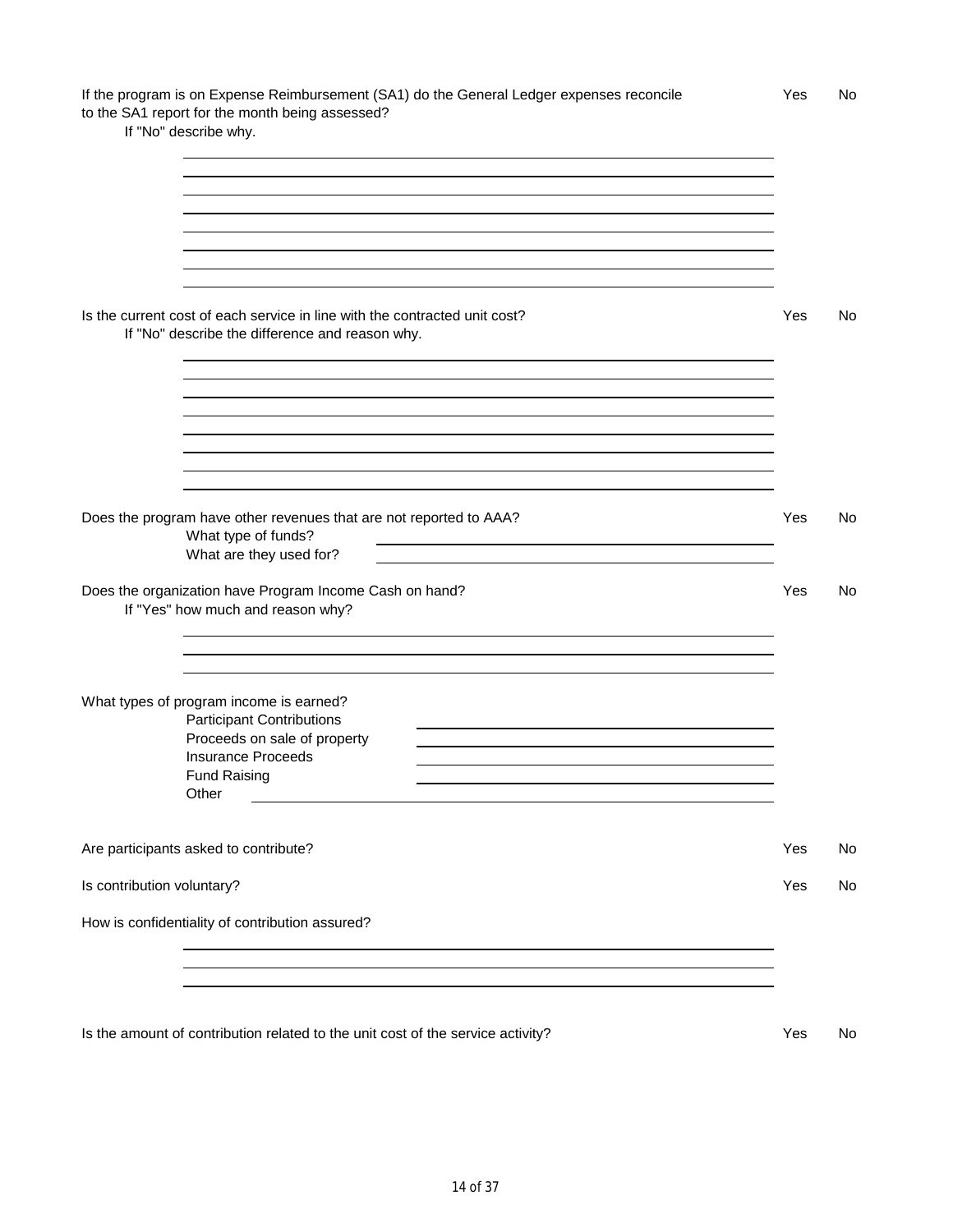| If the program is on Expense Reimbursement (SA1) do the General Ledger expenses reconcile | <b>Yes</b> | No |
|-------------------------------------------------------------------------------------------|------------|----|
| to the SA1 report for the month being assessed?                                           |            |    |

If "No" describe why.

|                            | Is the current cost of each service in line with the contracted unit cost?<br>If "No" describe the difference and reason why.                                                                                                                   | Yes | No |
|----------------------------|-------------------------------------------------------------------------------------------------------------------------------------------------------------------------------------------------------------------------------------------------|-----|----|
|                            | Does the program have other revenues that are not reported to AAA?<br>What type of funds?                                                                                                                                                       | Yes | No |
|                            | <u> 1989 - Johann Barn, amerikan besteman besteman besteman besteman besteman besteman besteman besteman bestema</u><br>What are they used for?<br>Does the organization have Program Income Cash on hand?<br>If "Yes" how much and reason why? | Yes | No |
|                            | What types of program income is earned?<br><b>Participant Contributions</b><br>Proceeds on sale of property<br><b>Insurance Proceeds</b><br><b>Fund Raising</b><br>Other                                                                        |     |    |
|                            | Are participants asked to contribute?                                                                                                                                                                                                           | Yes | No |
| Is contribution voluntary? |                                                                                                                                                                                                                                                 | Yes | No |
|                            | How is confidentiality of contribution assured?                                                                                                                                                                                                 |     |    |

Is the amount of contribution related to the unit cost of the service activity? Yes No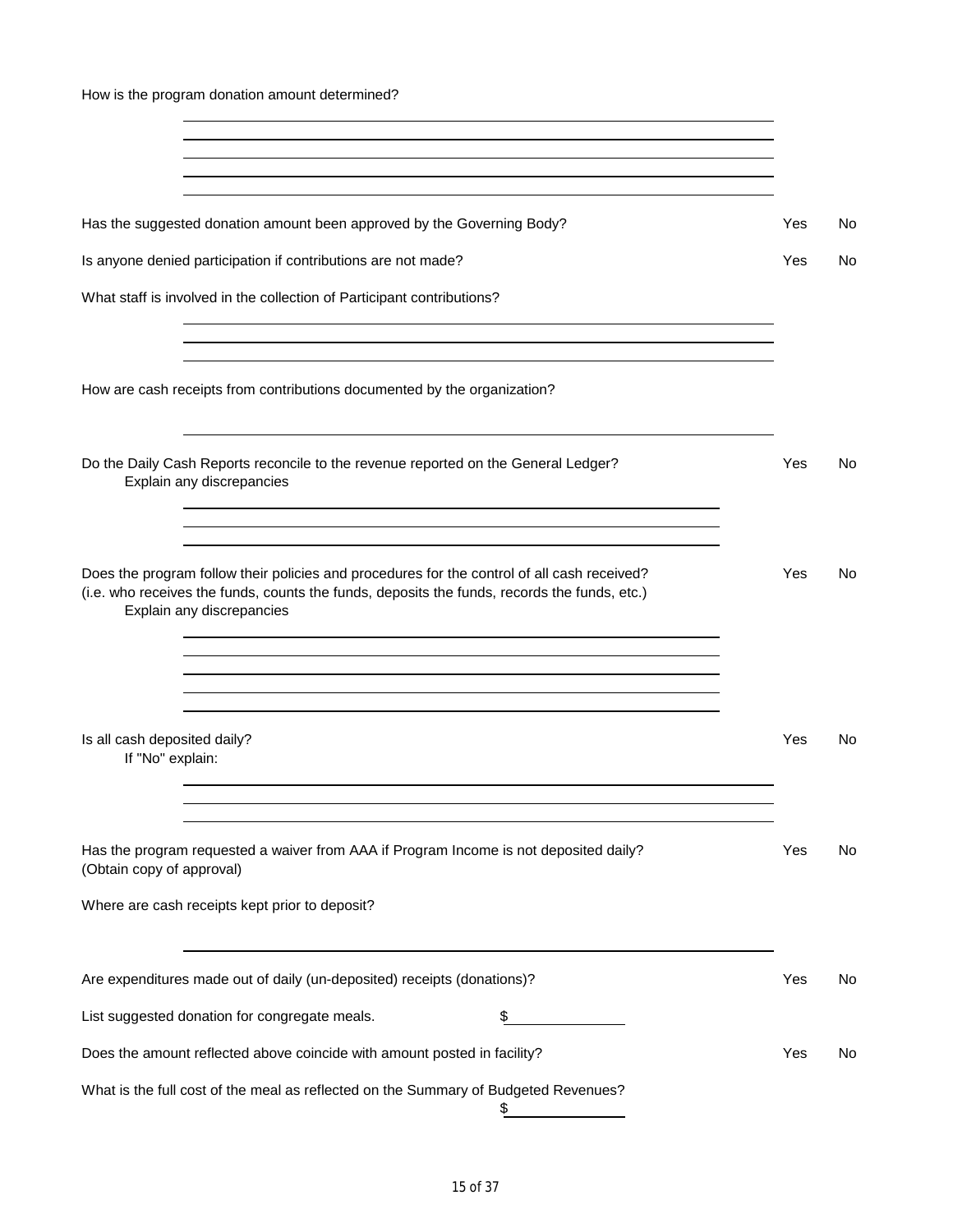How is the program donation amount determined?

| Has the suggested donation amount been approved by the Governing Body?                                                                                                                                                                                                                                                                       | Yes | No  |
|----------------------------------------------------------------------------------------------------------------------------------------------------------------------------------------------------------------------------------------------------------------------------------------------------------------------------------------------|-----|-----|
| Is anyone denied participation if contributions are not made?                                                                                                                                                                                                                                                                                | Yes | No. |
| What staff is involved in the collection of Participant contributions?                                                                                                                                                                                                                                                                       |     |     |
| How are cash receipts from contributions documented by the organization?                                                                                                                                                                                                                                                                     |     |     |
| Do the Daily Cash Reports reconcile to the revenue reported on the General Ledger?<br>Explain any discrepancies                                                                                                                                                                                                                              | Yes | No  |
| and the control of the control of the control of the control of the control of the control of the control of the<br>Does the program follow their policies and procedures for the control of all cash received?<br>(i.e. who receives the funds, counts the funds, deposits the funds, records the funds, etc.)<br>Explain any discrepancies | Yes | No  |
| Is all cash deposited daily?<br>If "No" explain:                                                                                                                                                                                                                                                                                             | Yes | No  |
| Has the program requested a waiver from AAA if Program Income is not deposited daily?<br>(Obtain copy of approval)                                                                                                                                                                                                                           | Yes | No  |
| Where are cash receipts kept prior to deposit?                                                                                                                                                                                                                                                                                               |     |     |
| Are expenditures made out of daily (un-deposited) receipts (donations)?                                                                                                                                                                                                                                                                      | Yes | No  |
| List suggested donation for congregate meals.                                                                                                                                                                                                                                                                                                |     |     |
| Does the amount reflected above coincide with amount posted in facility?                                                                                                                                                                                                                                                                     | Yes | No  |
| What is the full cost of the meal as reflected on the Summary of Budgeted Revenues?                                                                                                                                                                                                                                                          |     |     |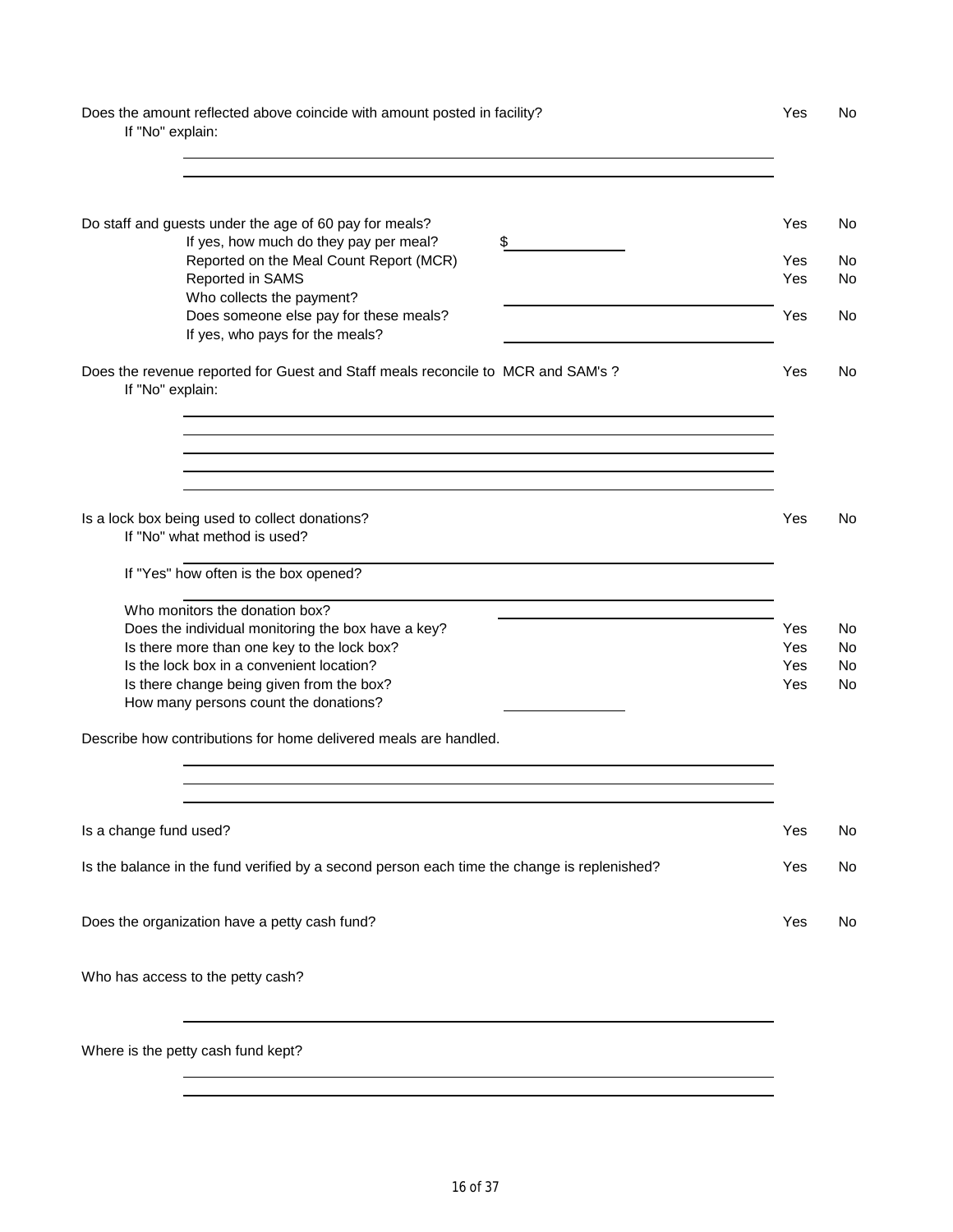Does the amount reflected above coincide with amount posted in facility? The Most Communisty Prest No

If "No" explain:

| Do staff and guests under the age of 60 pay for meals?<br>If yes, how much do they pay per meal?<br>\$ | Yes        | No       |
|--------------------------------------------------------------------------------------------------------|------------|----------|
| Reported on the Meal Count Report (MCR)<br>Reported in SAMS                                            | Yes<br>Yes | No<br>No |
| Who collects the payment?<br>Does someone else pay for these meals?<br>If yes, who pays for the meals? | Yes        | No       |
| Does the revenue reported for Guest and Staff meals reconcile to MCR and SAM's ?<br>If "No" explain:   | Yes        | No       |
|                                                                                                        |            |          |
|                                                                                                        |            |          |
| Is a lock box being used to collect donations?<br>If "No" what method is used?                         | Yes        | No       |
| If "Yes" how often is the box opened?                                                                  |            |          |
| Who monitors the donation box?                                                                         |            |          |
| Does the individual monitoring the box have a key?                                                     | Yes        | No       |
| Is there more than one key to the lock box?                                                            | Yes        | No       |
| Is the lock box in a convenient location?                                                              | Yes        | No       |
| Is there change being given from the box?                                                              | Yes        | No       |
| How many persons count the donations?                                                                  |            |          |
| Describe how contributions for home delivered meals are handled.                                       |            |          |
|                                                                                                        |            |          |
| Is a change fund used?                                                                                 | Yes        | No       |
| Is the balance in the fund verified by a second person each time the change is replenished?            | Yes        | No       |
| Does the organization have a petty cash fund?                                                          | Yes        | No       |
| Who has access to the petty cash?                                                                      |            |          |
| Where is the petty cash fund kept?                                                                     |            |          |
|                                                                                                        |            |          |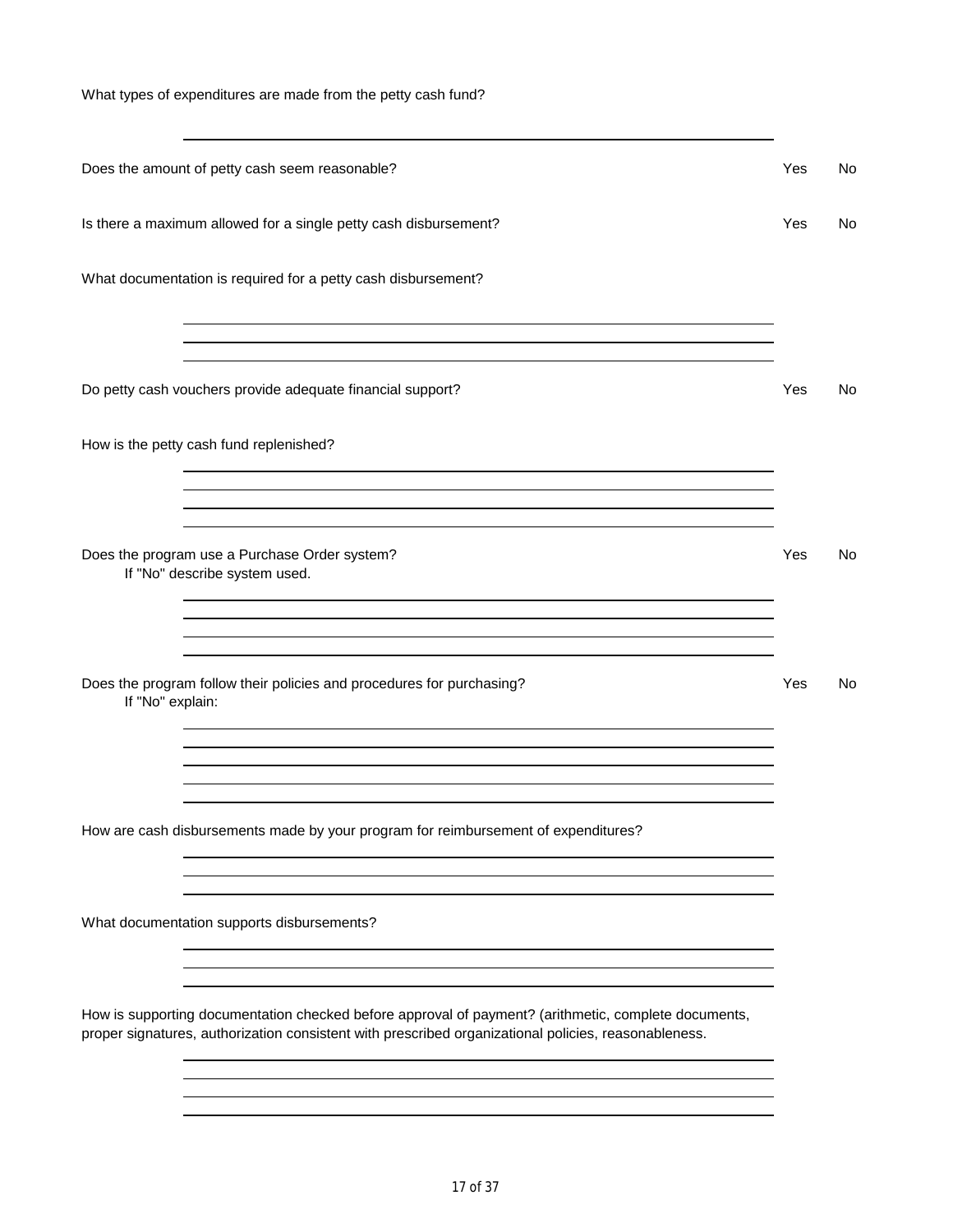What types of expenditures are made from the petty cash fund?

| Does the amount of petty cash seem reasonable?                                                                                                                                                               | Yes | No |
|--------------------------------------------------------------------------------------------------------------------------------------------------------------------------------------------------------------|-----|----|
| Is there a maximum allowed for a single petty cash disbursement?                                                                                                                                             | Yes | No |
| What documentation is required for a petty cash disbursement?                                                                                                                                                |     |    |
| and the control of the control of the control of the control of the control of the control of the control of the<br>Do petty cash vouchers provide adequate financial support?                               | Yes | No |
| How is the petty cash fund replenished?                                                                                                                                                                      |     |    |
| ,我们也不会有什么。""我们的人,我们也不会有什么?""我们的人,我们也不会有什么?""我们的人,我们也不会有什么?""我们的人,我们也不会有什么?""我们的人<br>,我们也不会有什么。""我们的人,我们也不会有什么?""我们的人,我们也不会有什么?""我们的人,我们的人,我们的人,我们的人,我们的人,我们的人,我们的人,我                                         |     |    |
| Does the program use a Purchase Order system?<br>If "No" describe system used.                                                                                                                               | Yes | No |
| Does the program follow their policies and procedures for purchasing?<br>If "No" explain:                                                                                                                    | Yes | No |
|                                                                                                                                                                                                              |     |    |
| How are cash disbursements made by your program for reimbursement of expenditures?                                                                                                                           |     |    |
| What documentation supports disbursements?                                                                                                                                                                   |     |    |
| How is supporting documentation checked before approval of payment? (arithmetic, complete documents,<br>proper signatures, authorization consistent with prescribed organizational policies, reasonableness. |     |    |
|                                                                                                                                                                                                              |     |    |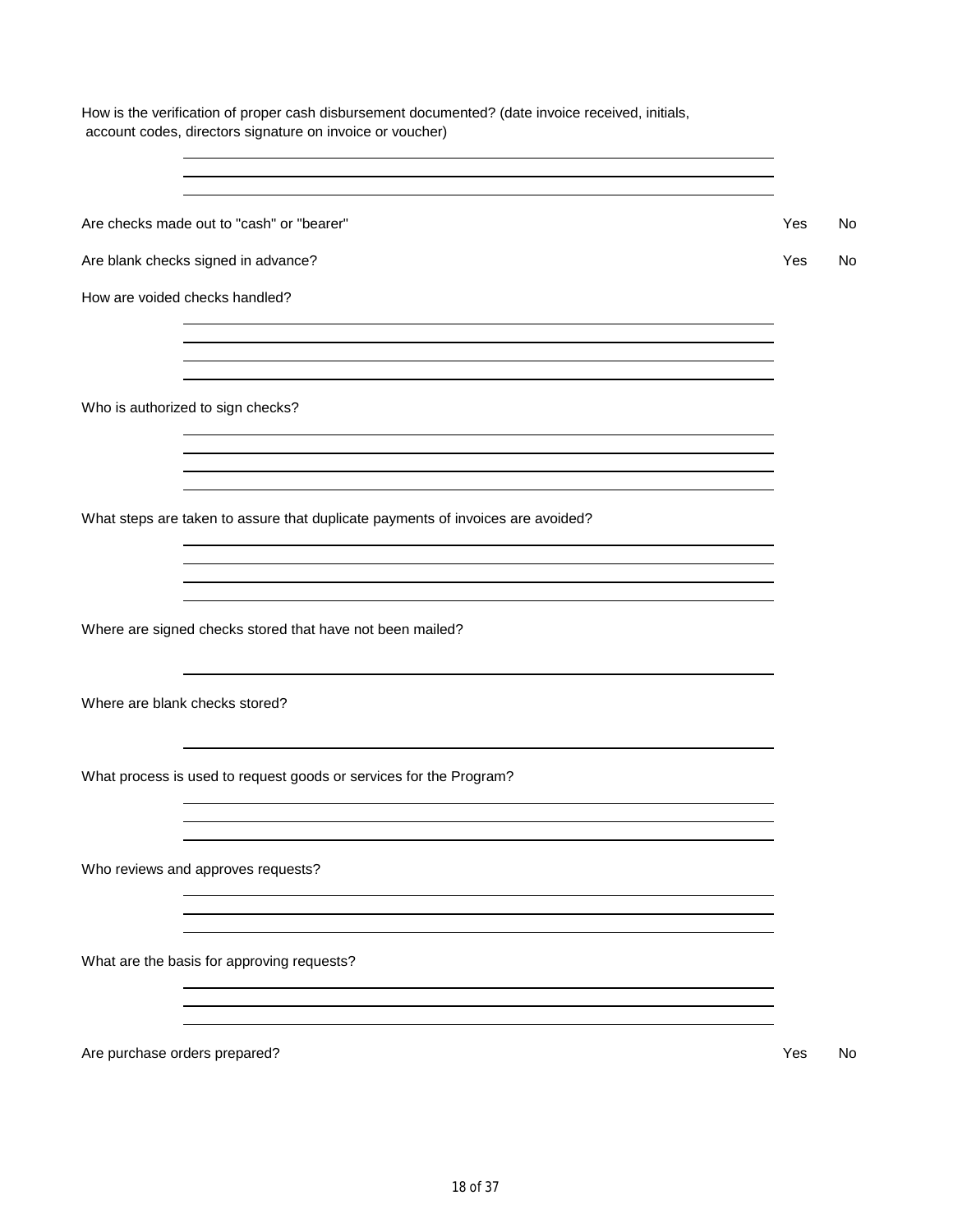Are blank checks signed in advance? The state of the state of the state of the state of the state of the state of the state of the state of the state of the state of the state of the state of the state of the state of the How are voided checks handled? Who is authorized to sign checks? What steps are taken to assure that duplicate payments of invoices are avoided? Where are signed checks stored that have not been mailed? Where are blank checks stored? Who reviews and approves requests? What are the basis for approving requests? Are purchase orders prepared? The contract of the contract of the contract of the contract of the contract of the contract of the contract of the contract of the contract of the contract of the contract of the contract of 18 of 37

How is the verification of proper cash disbursement documented? (date invoice received, initials, account codes, directors signature on invoice or voucher)

Are checks made out to "cash" or "bearer"  $\blacksquare$ 

What process is used to request goods or services for the Program?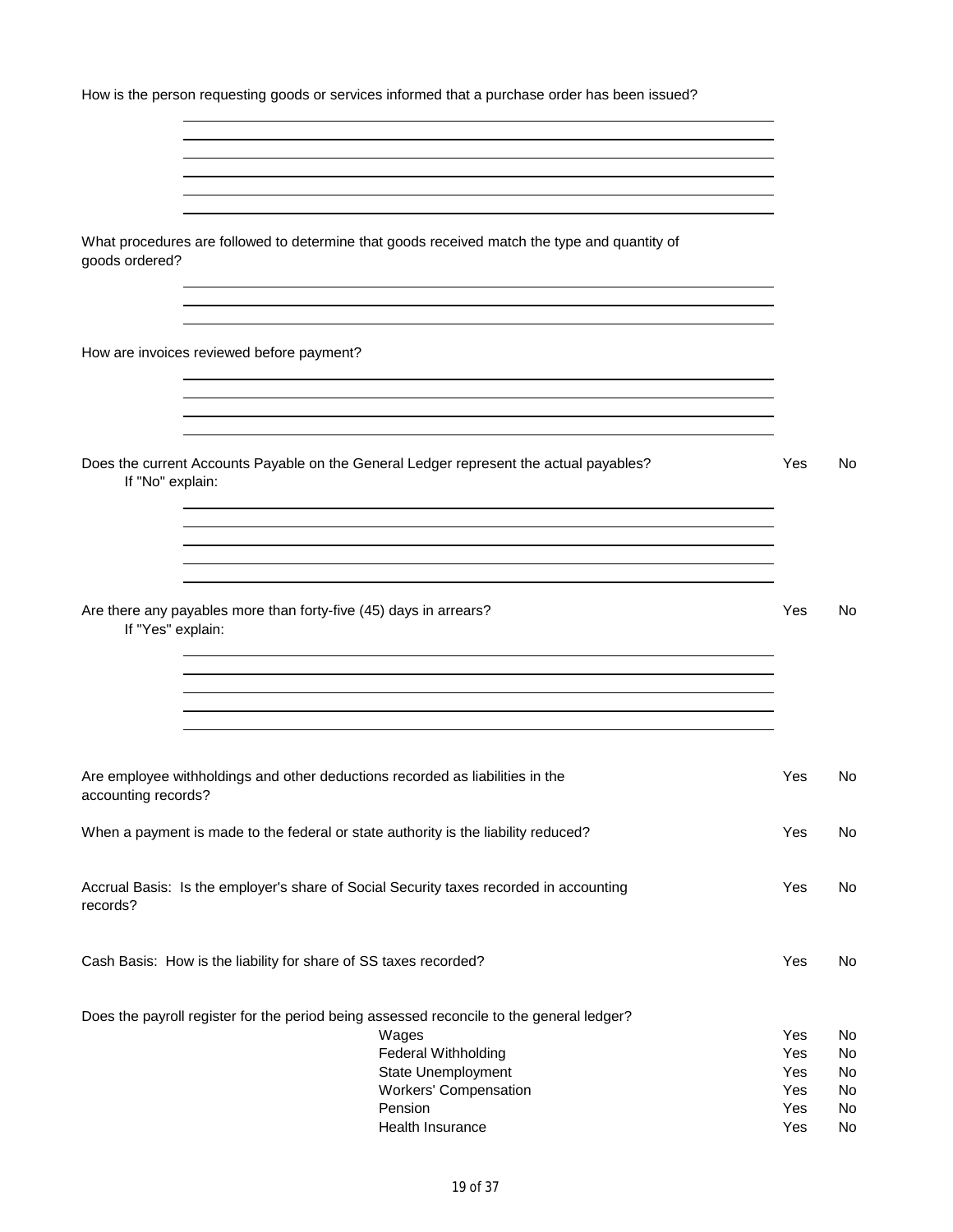| How is the person requesting goods or services informed that a purchase order has been issued?                 |     |           |
|----------------------------------------------------------------------------------------------------------------|-----|-----------|
|                                                                                                                |     |           |
| What procedures are followed to determine that goods received match the type and quantity of<br>goods ordered? |     |           |
|                                                                                                                |     |           |
| How are invoices reviewed before payment?                                                                      |     |           |
| Does the current Accounts Payable on the General Ledger represent the actual payables?<br>If "No" explain:     | Yes | No        |
| Are there any payables more than forty-five (45) days in arrears?<br>If "Yes" explain:                         | Yes | No        |
|                                                                                                                |     |           |
| Are employee withholdings and other deductions recorded as liabilities in the<br>accounting records?           | Yes | <b>No</b> |
| When a payment is made to the federal or state authority is the liability reduced?                             | Yes | <b>No</b> |
| Accrual Basis: Is the employer's share of Social Security taxes recorded in accounting<br>records?             | Yes | No        |

Cash Basis: How is the liability for share of SS taxes recorded? The Most Cash Basis: No

| Does the payroll register for the period being assessed reconcile to the general ledger? |     |     |
|------------------------------------------------------------------------------------------|-----|-----|
| Wages                                                                                    | Yes | No. |
| Federal Withholding                                                                      | Yes | No. |
| State Unemployment                                                                       | Yes | No. |
| <b>Workers' Compensation</b>                                                             | Yes | No. |
| Pension                                                                                  | Yes | No. |
| Health Insurance                                                                         | Yes | No. |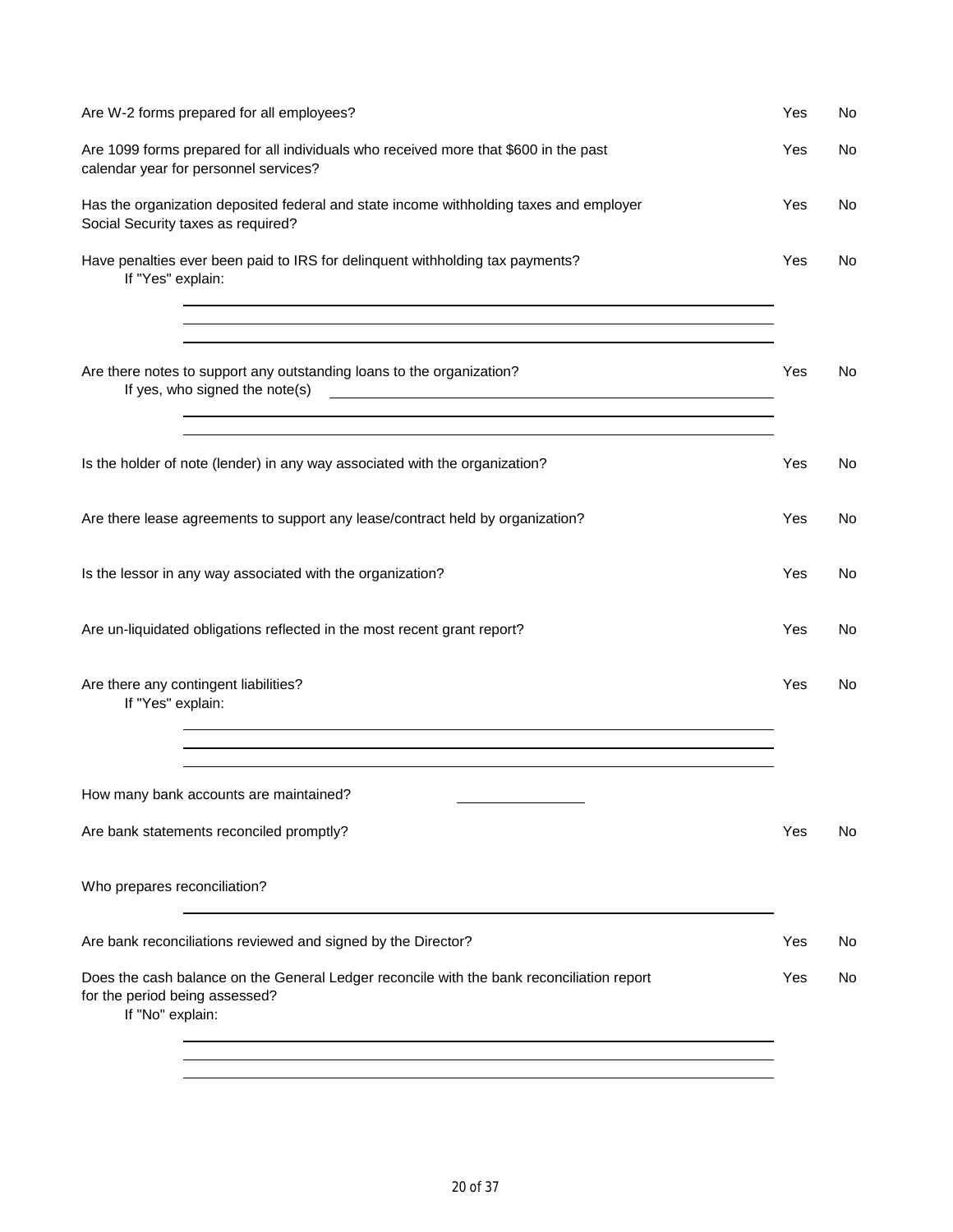| Are W-2 forms prepared for all employees?                                                                                                                                                                                                                                                                                                                                                                                                         | Yes | No  |
|---------------------------------------------------------------------------------------------------------------------------------------------------------------------------------------------------------------------------------------------------------------------------------------------------------------------------------------------------------------------------------------------------------------------------------------------------|-----|-----|
| Are 1099 forms prepared for all individuals who received more that \$600 in the past<br>calendar year for personnel services?                                                                                                                                                                                                                                                                                                                     | Yes | No. |
| Has the organization deposited federal and state income withholding taxes and employer<br>Social Security taxes as required?                                                                                                                                                                                                                                                                                                                      | Yes | No  |
| Have penalties ever been paid to IRS for delinquent withholding tax payments?<br>If "Yes" explain:                                                                                                                                                                                                                                                                                                                                                | Yes | No  |
| Are there notes to support any outstanding loans to the organization?<br>If yes, who signed the note(s)<br><u> 1989 - Johann John Stein, markin fan it fjort fan it fjort fan it fjort fan it fjort fan it fjort fan it fjort f</u><br><u> 1989 - Andrea San Andrea San Andrea San Andrea San Andrea San Andrea San Andrea San Andrea San Andrea San Andr</u><br>,我们也不会有什么。""我们的人,我们也不会有什么?""我们的人,我们也不会有什么?""我们的人,我们的人,我们的人,我们的人,我们的人,我们的人,我们的人,我 | Yes | No  |
| Is the holder of note (lender) in any way associated with the organization?                                                                                                                                                                                                                                                                                                                                                                       | Yes | No  |
| Are there lease agreements to support any lease/contract held by organization?                                                                                                                                                                                                                                                                                                                                                                    | Yes | No. |
| Is the lessor in any way associated with the organization?                                                                                                                                                                                                                                                                                                                                                                                        | Yes | No  |
| Are un-liquidated obligations reflected in the most recent grant report?                                                                                                                                                                                                                                                                                                                                                                          | Yes | No  |
| Are there any contingent liabilities?<br>If "Yes" explain:<br>and the control of the control of the control of the control of the control of the control of the control of the                                                                                                                                                                                                                                                                    | Yes | No  |
| How many bank accounts are maintained?                                                                                                                                                                                                                                                                                                                                                                                                            |     |     |
| Are bank statements reconciled promptly?                                                                                                                                                                                                                                                                                                                                                                                                          | Yes | No  |
| Who prepares reconciliation?                                                                                                                                                                                                                                                                                                                                                                                                                      |     |     |
| Are bank reconciliations reviewed and signed by the Director?                                                                                                                                                                                                                                                                                                                                                                                     | Yes | No. |
| Does the cash balance on the General Ledger reconcile with the bank reconciliation report<br>for the period being assessed?<br>If "No" explain:                                                                                                                                                                                                                                                                                                   | Yes | No  |
|                                                                                                                                                                                                                                                                                                                                                                                                                                                   |     |     |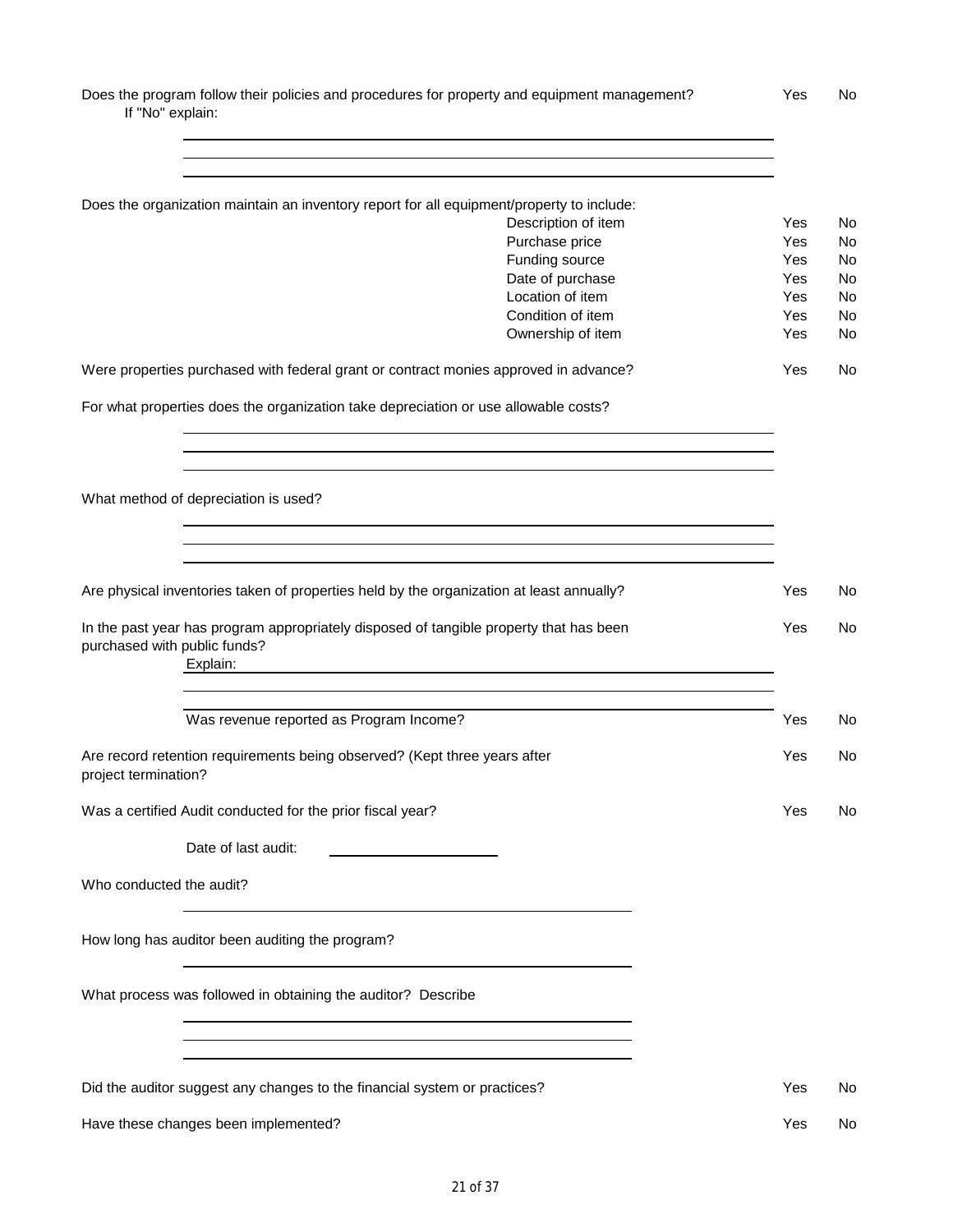Does the program follow their policies and procedures for property and equipment management? Yes No If "No" explain:

|                                      | Does the organization maintain an inventory report for all equipment/property to include:          |            |                 |
|--------------------------------------|----------------------------------------------------------------------------------------------------|------------|-----------------|
|                                      | Description of item                                                                                | Yes        | No              |
|                                      | Purchase price                                                                                     | Yes        | <b>No</b>       |
|                                      | Funding source                                                                                     | Yes        | <b>No</b>       |
|                                      | Date of purchase                                                                                   | Yes        | No              |
|                                      | Location of item<br>Condition of item                                                              | Yes<br>Yes | No<br><b>No</b> |
|                                      | Ownership of item                                                                                  | Yes        | No              |
|                                      | Were properties purchased with federal grant or contract monies approved in advance?               | Yes        | No              |
|                                      | For what properties does the organization take depreciation or use allowable costs?                |            |                 |
|                                      |                                                                                                    |            |                 |
| What method of depreciation is used? |                                                                                                    |            |                 |
|                                      |                                                                                                    |            |                 |
|                                      |                                                                                                    |            |                 |
|                                      | Are physical inventories taken of properties held by the organization at least annually?           | Yes        | No              |
| purchased with public funds?         | In the past year has program appropriately disposed of tangible property that has been<br>Explain: | Yes        | No              |
|                                      | Was revenue reported as Program Income?                                                            | Yes        | No              |
| project termination?                 | Are record retention requirements being observed? (Kept three years after                          | Yes        | No              |
|                                      | Was a certified Audit conducted for the prior fiscal year?                                         | Yes        | No              |
|                                      | Date of last audit:                                                                                |            |                 |
| Who conducted the audit?             |                                                                                                    |            |                 |
|                                      | How long has auditor been auditing the program?                                                    |            |                 |
|                                      | What process was followed in obtaining the auditor? Describe                                       |            |                 |
|                                      |                                                                                                    |            |                 |
|                                      | Did the auditor suggest any changes to the financial system or practices?                          | Yes        | No              |
|                                      | Have these changes been implemented?                                                               | Yes        | No.             |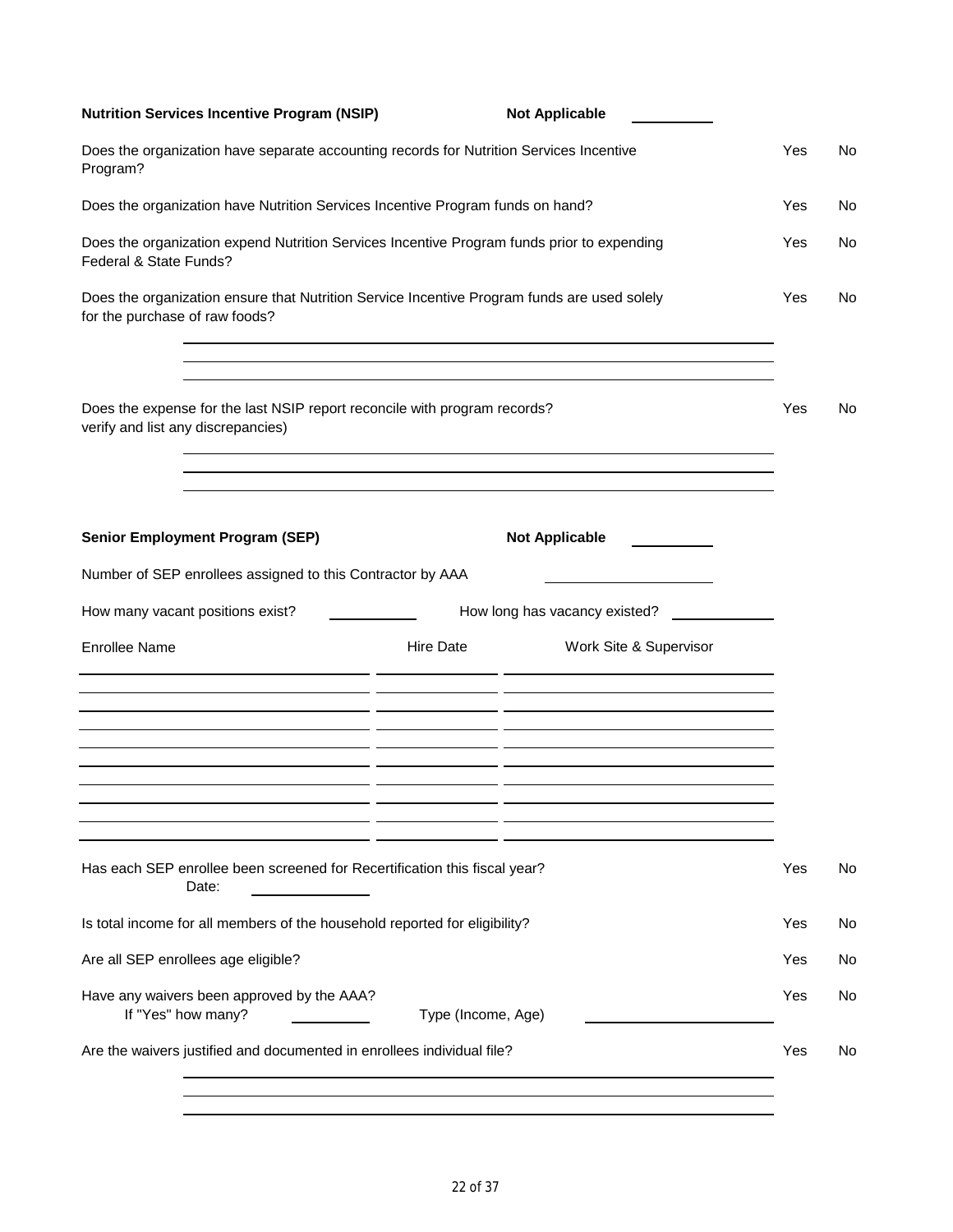| <b>Nutrition Services Incentive Program (NSIP)</b>                                                                            |                    | <b>Not Applicable</b>                                                                                                                          |     |     |
|-------------------------------------------------------------------------------------------------------------------------------|--------------------|------------------------------------------------------------------------------------------------------------------------------------------------|-----|-----|
| Does the organization have separate accounting records for Nutrition Services Incentive<br>Program?                           |                    |                                                                                                                                                | Yes | No  |
| Does the organization have Nutrition Services Incentive Program funds on hand?                                                |                    |                                                                                                                                                | Yes | No. |
| Does the organization expend Nutrition Services Incentive Program funds prior to expending<br>Federal & State Funds?          |                    |                                                                                                                                                | Yes | No. |
| Does the organization ensure that Nutrition Service Incentive Program funds are used solely<br>for the purchase of raw foods? |                    |                                                                                                                                                | Yes | No  |
| Does the expense for the last NSIP report reconcile with program records?<br>verify and list any discrepancies)               |                    | ,我们也不会有什么。""我们的人,我们也不会有什么?""我们的人,我们也不会有什么?""我们的人,我们的人,我们的人,我们的人,我们的人,我们的人,我们的人,我                                                               | Yes | No  |
| <b>Senior Employment Program (SEP)</b>                                                                                        |                    | <u> 1989 - Johann Stoff, amerikansk politiker (d. 1989)</u><br><b>Not Applicable</b>                                                           |     |     |
|                                                                                                                               |                    |                                                                                                                                                |     |     |
| Number of SEP enrollees assigned to this Contractor by AAA                                                                    |                    |                                                                                                                                                |     |     |
| How many vacant positions exist?                                                                                              |                    | How long has vacancy existed?                                                                                                                  |     |     |
| <b>Enrollee Name</b><br><u> 1980 - Andrea Andrew Maria (b. 1980)</u>                                                          | <b>Hire Date</b>   | Work Site & Supervisor<br><u> 1989 - Johann John Stone, markin biskup yn y steatr y brening yn y steatr y brening yn y steatr y brening yn</u> |     |     |
| <u> 1989 - John Stone, Amerikaansk politiker (* 1908)</u>                                                                     |                    |                                                                                                                                                |     |     |
| Has each SEP enrollee been screened for Recertification this fiscal year?<br>Date:                                            |                    |                                                                                                                                                | Yes | No  |
| Is total income for all members of the household reported for eligibility?                                                    |                    |                                                                                                                                                | Yes | No  |
| Are all SEP enrollees age eligible?                                                                                           |                    |                                                                                                                                                | Yes | No. |
| Have any waivers been approved by the AAA?<br>If "Yes" how many?                                                              | Type (Income, Age) |                                                                                                                                                | Yes | No  |
| Are the waivers justified and documented in enrollees individual file?                                                        |                    |                                                                                                                                                | Yes | No  |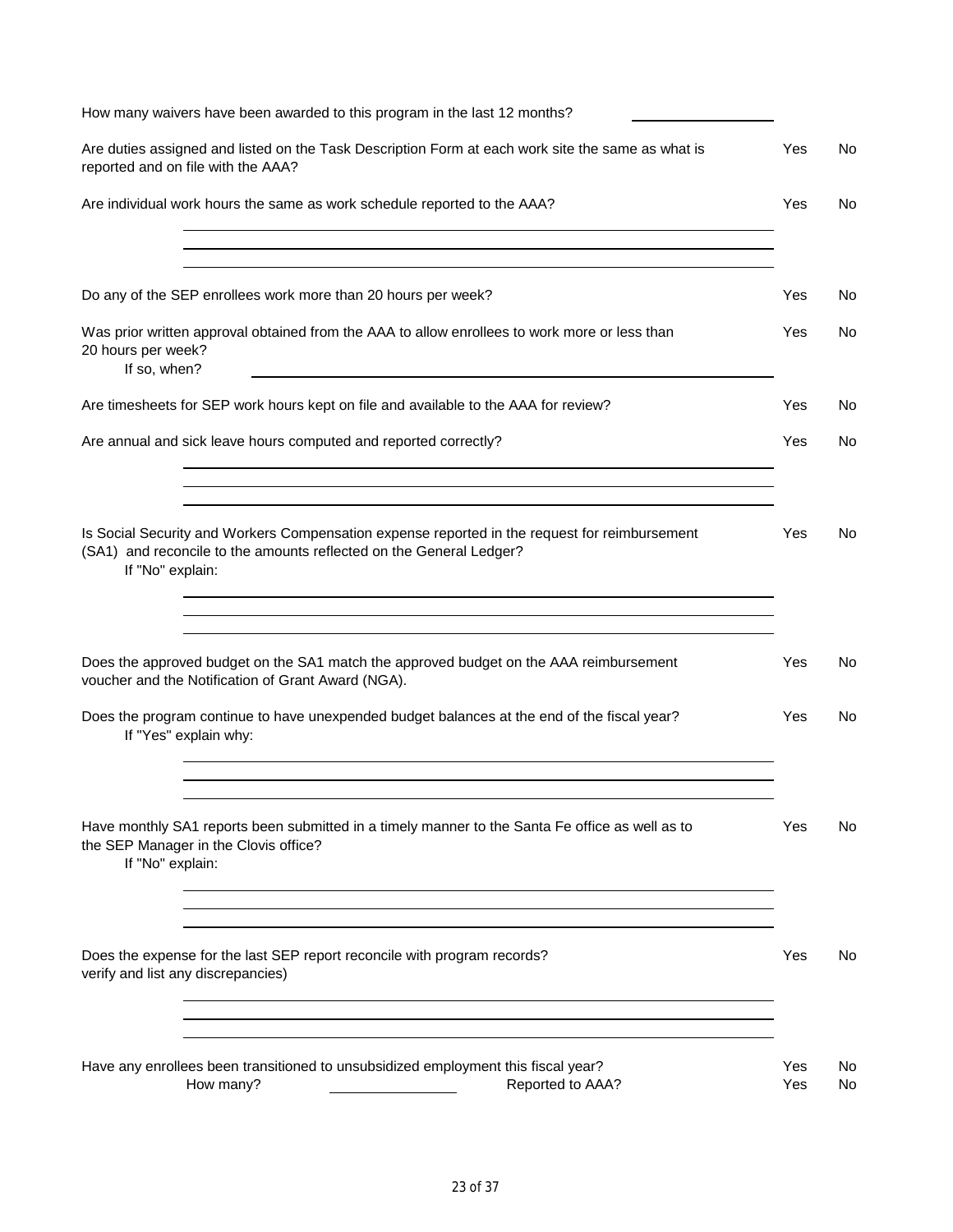| How many waivers have been awarded to this program in the last 12 months?                                                                                                                |            |          |
|------------------------------------------------------------------------------------------------------------------------------------------------------------------------------------------|------------|----------|
| Are duties assigned and listed on the Task Description Form at each work site the same as what is<br>reported and on file with the AAA?                                                  | Yes        | No       |
| Are individual work hours the same as work schedule reported to the AAA?                                                                                                                 | Yes        | No       |
|                                                                                                                                                                                          |            |          |
| Do any of the SEP enrollees work more than 20 hours per week?                                                                                                                            | Yes        | No       |
| Was prior written approval obtained from the AAA to allow enrollees to work more or less than<br>20 hours per week?<br>If so, when?                                                      | Yes        | No       |
| Are timesheets for SEP work hours kept on file and available to the AAA for review?                                                                                                      | Yes        | No       |
| Are annual and sick leave hours computed and reported correctly?                                                                                                                         | Yes        | No       |
|                                                                                                                                                                                          |            |          |
| Is Social Security and Workers Compensation expense reported in the request for reimbursement<br>(SA1) and reconcile to the amounts reflected on the General Ledger?<br>If "No" explain: | Yes        | No       |
|                                                                                                                                                                                          |            |          |
| Does the approved budget on the SA1 match the approved budget on the AAA reimbursement<br>voucher and the Notification of Grant Award (NGA).                                             | Yes        | No       |
| Does the program continue to have unexpended budget balances at the end of the fiscal year?<br>If "Yes" explain why:                                                                     | Yes        | No       |
|                                                                                                                                                                                          |            |          |
| Have monthly SA1 reports been submitted in a timely manner to the Santa Fe office as well as to<br>the SEP Manager in the Clovis office?<br>If "No" explain:                             | Yes        | No       |
|                                                                                                                                                                                          |            |          |
| Does the expense for the last SEP report reconcile with program records?<br>verify and list any discrepancies)                                                                           | Yes        | No.      |
|                                                                                                                                                                                          |            |          |
| Have any enrollees been transitioned to unsubsidized employment this fiscal year?<br>How many?<br>Reported to AAA?                                                                       | Yes<br>Yes | No<br>No |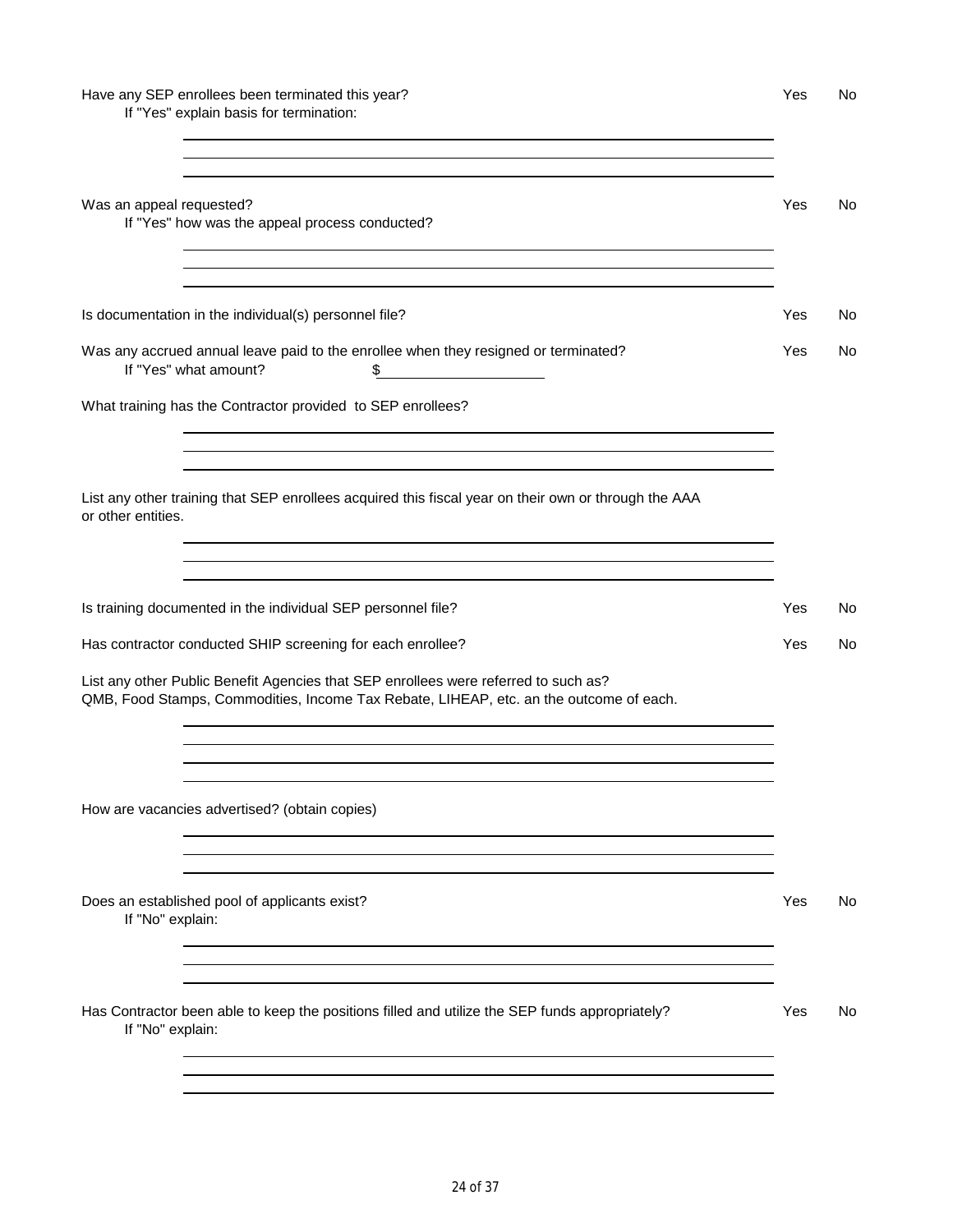# Have any SEP enrollees been terminated this year? The Contract of the Contract of the Ves No

If "Yes" explain basis for termination:

| Was an appeal requested?<br>If "Yes" how was the appeal process conducted?                                                                                                                                                                     | Yes | No  |
|------------------------------------------------------------------------------------------------------------------------------------------------------------------------------------------------------------------------------------------------|-----|-----|
|                                                                                                                                                                                                                                                |     |     |
| Is documentation in the individual(s) personnel file?                                                                                                                                                                                          | Yes | No. |
| Was any accrued annual leave paid to the enrollee when they resigned or terminated?<br>If "Yes" what amount?<br>\$                                                                                                                             | Yes | No. |
| What training has the Contractor provided to SEP enrollees?                                                                                                                                                                                    |     |     |
| List any other training that SEP enrollees acquired this fiscal year on their own or through the AAA<br>or other entities.<br>and the control of the control of the control of the control of the control of the control of the control of the |     |     |
| Is training documented in the individual SEP personnel file?                                                                                                                                                                                   | Yes | No. |
| Has contractor conducted SHIP screening for each enrollee?                                                                                                                                                                                     | Yes | No. |
| List any other Public Benefit Agencies that SEP enrollees were referred to such as?<br>QMB, Food Stamps, Commodities, Income Tax Rebate, LIHEAP, etc. an the outcome of each.                                                                  |     |     |
| How are vacancies advertised? (obtain copies)                                                                                                                                                                                                  |     |     |
| Does an established pool of applicants exist?<br>If "No" explain:                                                                                                                                                                              | Yes | No  |
| Has Contractor been able to keep the positions filled and utilize the SEP funds appropriately?<br>If "No" explain:                                                                                                                             | Yes | No. |
|                                                                                                                                                                                                                                                |     |     |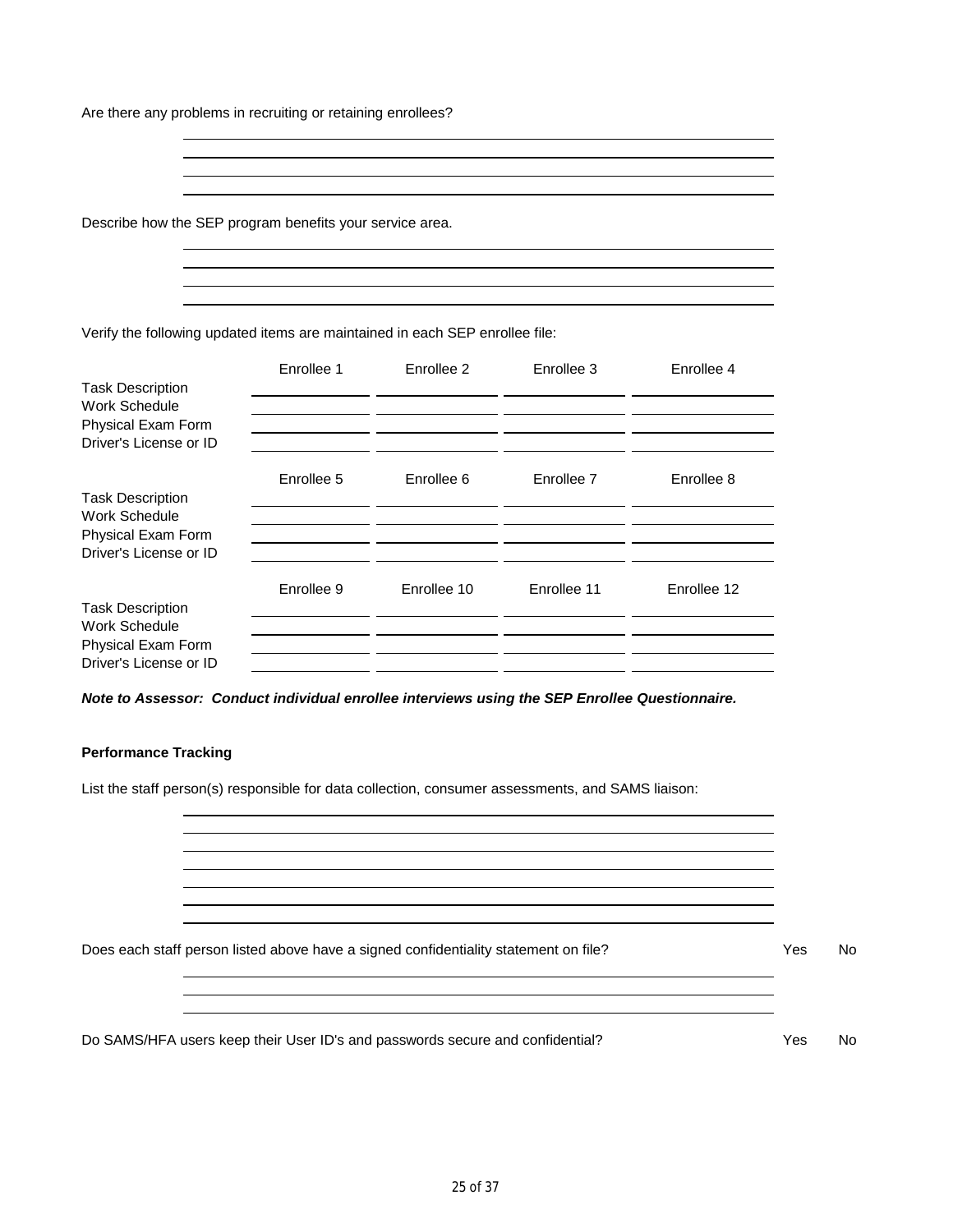Are there any problems in recruiting or retaining enrollees?

Describe how the SEP program benefits your service area.

Verify the following updated items are maintained in each SEP enrollee file:

|                                              | Enrollee 1 | Enrollee 2  | Enrollee 3  | Enrollee 4  |
|----------------------------------------------|------------|-------------|-------------|-------------|
| <b>Task Description</b><br>Work Schedule     |            |             |             |             |
| Physical Exam Form<br>Driver's License or ID |            |             |             |             |
|                                              | Enrollee 5 | Enrollee 6  | Enrollee 7  | Enrollee 8  |
| <b>Task Description</b><br>Work Schedule     |            |             |             |             |
| Physical Exam Form<br>Driver's License or ID |            |             |             |             |
|                                              |            |             |             |             |
| <b>Task Description</b>                      | Enrollee 9 | Enrollee 10 | Enrollee 11 | Enrollee 12 |
| Work Schedule                                |            |             |             |             |
| Physical Exam Form                           |            |             |             |             |
| Driver's License or ID                       |            |             |             |             |

*Note to Assessor: Conduct individual enrollee interviews using the SEP Enrollee Questionnaire.*

## **Performance Tracking**

List the staff person(s) responsible for data collection, consumer assessments, and SAMS liaison:

Does each staff person listed above have a signed confidentiality statement on file? Yes No

Do SAMS/HFA users keep their User ID's and passwords secure and confidential? The Ves No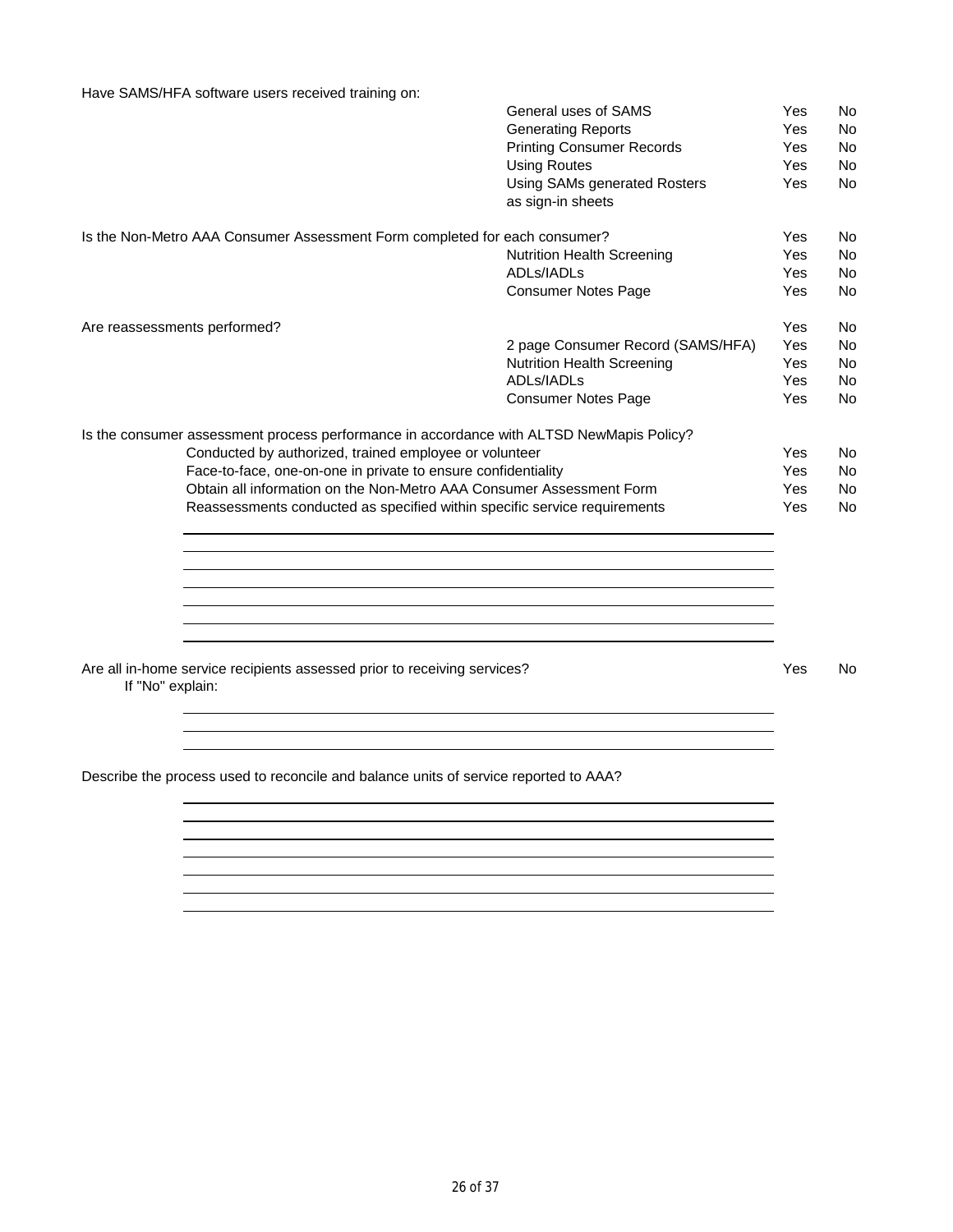Have SAMS/HFA software users received training on:

|                  |                                                                                          | General uses of SAMS              | Yes | No        |
|------------------|------------------------------------------------------------------------------------------|-----------------------------------|-----|-----------|
|                  |                                                                                          | <b>Generating Reports</b>         | Yes | No.       |
|                  |                                                                                          | <b>Printing Consumer Records</b>  | Yes | No        |
|                  |                                                                                          | <b>Using Routes</b>               | Yes | No        |
|                  |                                                                                          | Using SAMs generated Rosters      | Yes | No        |
|                  |                                                                                          | as sign-in sheets                 |     |           |
|                  | Is the Non-Metro AAA Consumer Assessment Form completed for each consumer?               |                                   | Yes | No        |
|                  |                                                                                          | <b>Nutrition Health Screening</b> | Yes | <b>No</b> |
|                  |                                                                                          | ADLs/IADLs                        | Yes | <b>No</b> |
|                  |                                                                                          | <b>Consumer Notes Page</b>        | Yes | No        |
|                  | Are reassessments performed?                                                             |                                   | Yes | No        |
|                  |                                                                                          | 2 page Consumer Record (SAMS/HFA) | Yes | <b>No</b> |
|                  |                                                                                          | <b>Nutrition Health Screening</b> | Yes | No        |
|                  |                                                                                          | ADLs/IADLs                        | Yes | No        |
|                  |                                                                                          | <b>Consumer Notes Page</b>        | Yes | No        |
|                  | Is the consumer assessment process performance in accordance with ALTSD NewMapis Policy? |                                   |     |           |
|                  | Conducted by authorized, trained employee or volunteer                                   |                                   | Yes | <b>No</b> |
|                  | Face-to-face, one-on-one in private to ensure confidentiality                            |                                   | Yes | No        |
|                  | Obtain all information on the Non-Metro AAA Consumer Assessment Form                     |                                   | Yes | No        |
|                  | Reassessments conducted as specified within specific service requirements                |                                   | Yes | No        |
|                  |                                                                                          |                                   |     |           |
|                  |                                                                                          |                                   |     |           |
|                  |                                                                                          |                                   |     |           |
|                  |                                                                                          |                                   |     |           |
|                  |                                                                                          |                                   |     |           |
| If "No" explain: | Are all in-home service recipients assessed prior to receiving services?                 |                                   | Yes | No        |
|                  |                                                                                          |                                   |     |           |
|                  |                                                                                          |                                   |     |           |
|                  | Describe the process used to reconcile and balance units of service reported to AAA?     |                                   |     |           |
|                  |                                                                                          |                                   |     |           |
|                  |                                                                                          |                                   |     |           |
|                  |                                                                                          |                                   |     |           |
|                  |                                                                                          |                                   |     |           |
|                  |                                                                                          |                                   |     |           |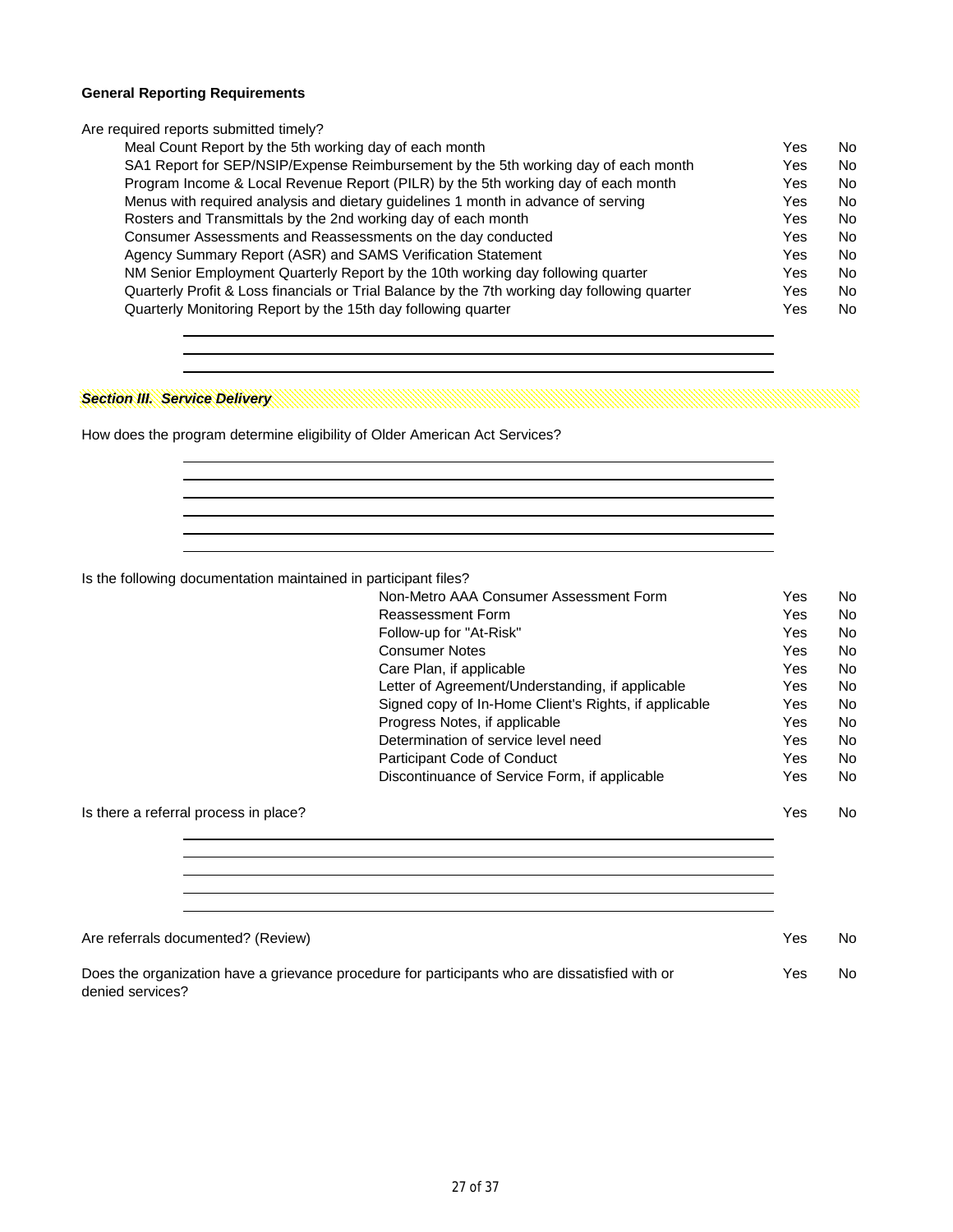#### **General Reporting Requirements**

Are required reports submitted timely?

| Meal Count Report by the 5th working day of each month                                       | Yes | No        |
|----------------------------------------------------------------------------------------------|-----|-----------|
| SA1 Report for SEP/NSIP/Expense Reimbursement by the 5th working day of each month           | Yes | <b>No</b> |
| Program Income & Local Revenue Report (PILR) by the 5th working day of each month            | Yes | <b>No</b> |
| Menus with required analysis and dietary guidelines 1 month in advance of serving            | Yes | <b>No</b> |
| Rosters and Transmittals by the 2nd working day of each month                                | Yes | <b>No</b> |
| Consumer Assessments and Reassessments on the day conducted                                  | Yes | <b>No</b> |
| Agency Summary Report (ASR) and SAMS Verification Statement                                  | Yes | <b>No</b> |
| NM Senior Employment Quarterly Report by the 10th working day following quarter              | Yes | <b>No</b> |
| Quarterly Profit & Loss financials or Trial Balance by the 7th working day following quarter | Yes | <b>No</b> |
| Quarterly Monitoring Report by the 15th day following quarter                                | Yes | <b>No</b> |
|                                                                                              |     |           |

# *Section III. Service Delivery*

How does the program determine eligibility of Older American Act Services?

Is the following documentation maintained in participant files?

|                                       | Non-Metro AAA Consumer Assessment Form                | Yes | No. |
|---------------------------------------|-------------------------------------------------------|-----|-----|
|                                       | Reassessment Form                                     | Yes | No. |
|                                       | Follow-up for "At-Risk"                               | Yes | No. |
|                                       | <b>Consumer Notes</b>                                 | Yes | No. |
|                                       | Care Plan, if applicable                              | Yes | No. |
|                                       | Letter of Agreement/Understanding, if applicable      | Yes | No. |
|                                       | Signed copy of In-Home Client's Rights, if applicable | Yes | No. |
|                                       | Progress Notes, if applicable                         | Yes | No. |
|                                       | Determination of service level need                   | Yes | No. |
|                                       | Participant Code of Conduct                           | Yes | No. |
|                                       | Discontinuance of Service Form, if applicable         | Yes | No. |
| Is there a referral process in place? |                                                       | Yes | No. |

| Are referrals documented? (Review)                                                             | Yes | No |
|------------------------------------------------------------------------------------------------|-----|----|
| Does the organization have a grievance procedure for participants who are dissatisfied with or | Yes | No |

denied services?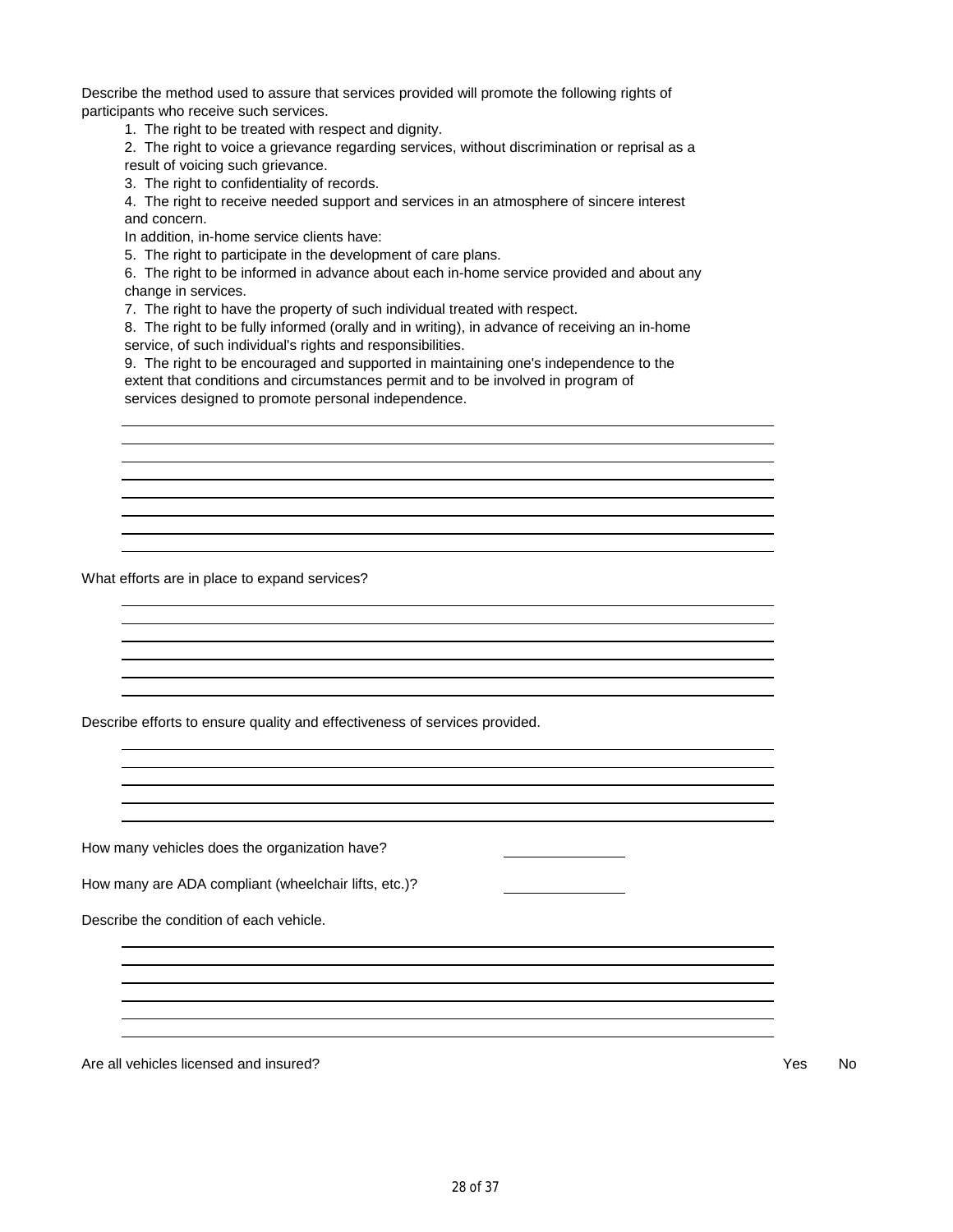Describe the method used to assure that services provided will promote the following rights of participants who receive such services.

1. The right to be treated with respect and dignity.

2. The right to voice a grievance regarding services, without discrimination or reprisal as a result of voicing such grievance.

3. The right to confidentiality of records.

4. The right to receive needed support and services in an atmosphere of sincere interest and concern.

In addition, in-home service clients have:

5. The right to participate in the development of care plans.

6. The right to be informed in advance about each in-home service provided and about any change in services.

7. The right to have the property of such individual treated with respect.

8. The right to be fully informed (orally and in writing), in advance of receiving an in-home service, of such individual's rights and responsibilities.

9. The right to be encouraged and supported in maintaining one's independence to the extent that conditions and circumstances permit and to be involved in program of services designed to promote personal independence.

What efforts are in place to expand services?

Describe efforts to ensure quality and effectiveness of services provided.

How many vehicles does the organization have?

How many are ADA compliant (wheelchair lifts, etc.)?

Describe the condition of each vehicle.

Are all vehicles licensed and insured? The state of the state of the state of the state of the state of the state of the state of the state of the state of the state of the state of the state of the state of the state of t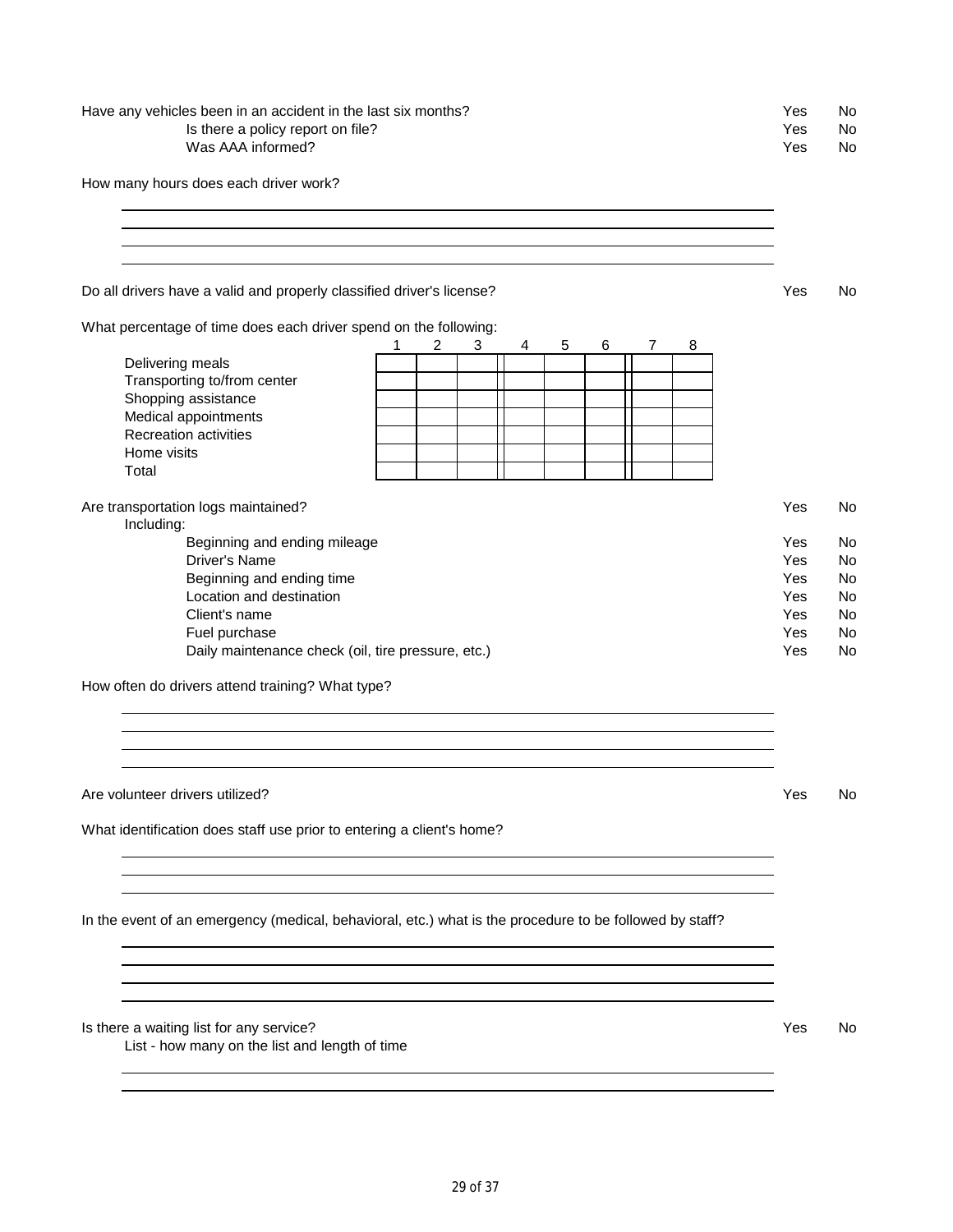## Have any vehicles been in an accident in the last six months?<br>
Is there a policy report on file?<br>
Yes No Is there a policy report on file? Yes No Was AAA informed? The Mass ACC of the Mass ACC of the Mass ACC of the Mass ACC of the Mass ACC of the Mass ACC of the Mass ACC of the Mass ACC of the Mass ACC of the Mass ACC of the Mass ACC of the Mass ACC of the Mass ACC

How many hours does each driver work?

Do all drivers have a valid and properly classified driver's license? The Monocommunication of the No

What percentage of time does each driver spend on the following:

|                                                    | 1 | 2 | 3 | 4 | 5 | 6 | 8 |     |    |
|----------------------------------------------------|---|---|---|---|---|---|---|-----|----|
| Delivering meals                                   |   |   |   |   |   |   |   |     |    |
| Transporting to/from center                        |   |   |   |   |   |   |   |     |    |
| Shopping assistance                                |   |   |   |   |   |   |   |     |    |
| Medical appointments                               |   |   |   |   |   |   |   |     |    |
| <b>Recreation activities</b>                       |   |   |   |   |   |   |   |     |    |
| Home visits                                        |   |   |   |   |   |   |   |     |    |
| Total                                              |   |   |   |   |   |   |   |     |    |
|                                                    |   |   |   |   |   |   |   |     |    |
| Are transportation logs maintained?                |   |   |   |   |   |   |   | Yes | No |
| Including:                                         |   |   |   |   |   |   |   |     |    |
| Beginning and ending mileage                       |   |   |   |   |   |   |   | Yes | No |
| Driver's Name                                      |   |   |   |   |   |   |   | Yes | No |
| Beginning and ending time                          |   |   |   |   |   |   |   | Yes | No |
| Location and destination                           |   |   |   |   |   |   |   | Yes | No |
| Client's name                                      |   |   |   |   |   |   |   | Yes | No |
| Fuel purchase                                      |   |   |   |   |   |   |   | Yes | No |
| Daily maintenance check (oil, tire pressure, etc.) |   |   |   |   |   |   |   | Yes | No |

How often do drivers attend training? What type?

Are volunteer drivers utilized? Yes No

What identification does staff use prior to entering a client's home?

In the event of an emergency (medical, behavioral, etc.) what is the procedure to be followed by staff?

Is there a waiting list for any service? The Contract of the Contract of the Contract of the Contract of the Contract of the Contract of the Contract of the Contract of the Contract of the Contract of the Contract of the C

List - how many on the list and length of time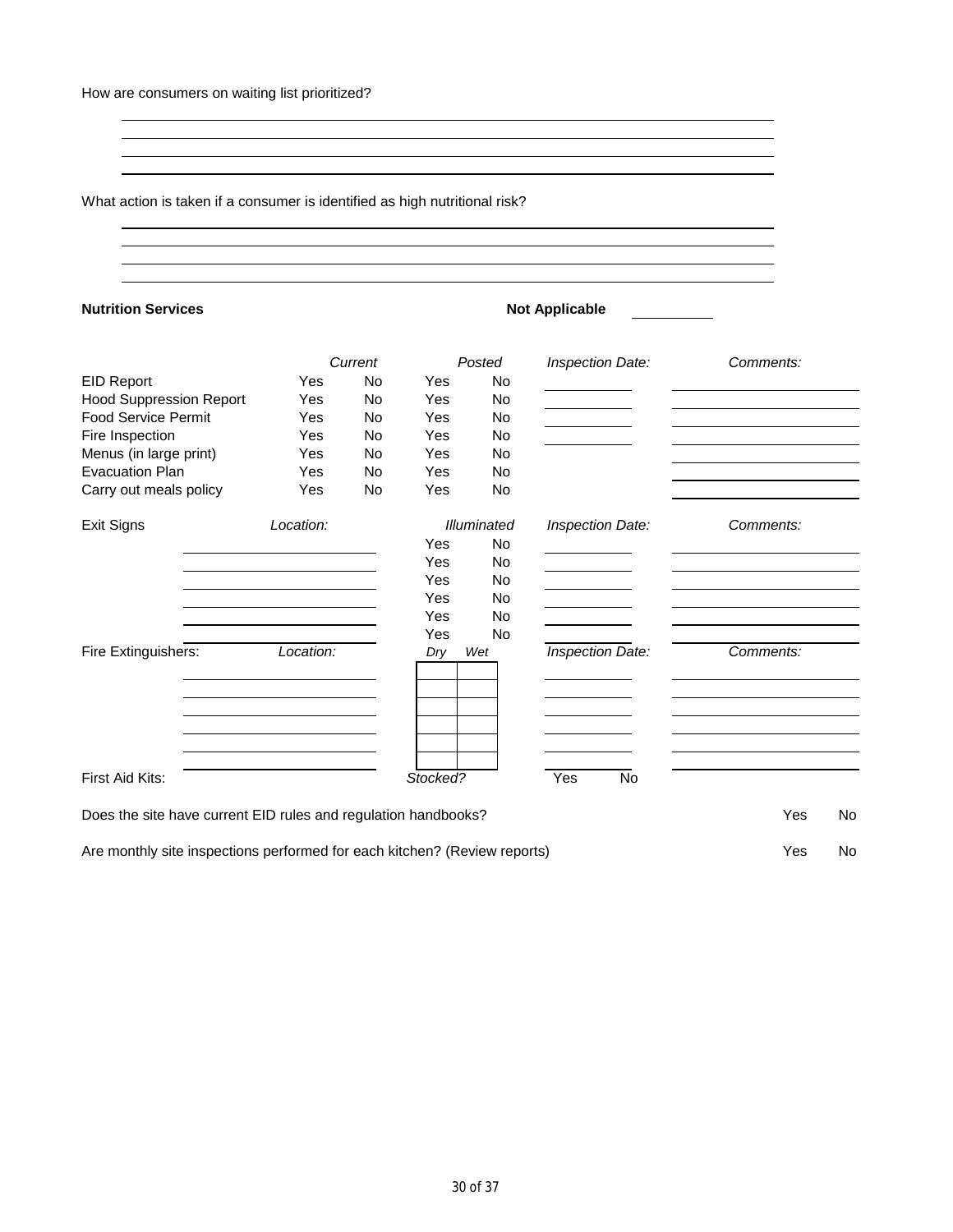What action is taken if a consumer is identified as high nutritional risk?

| <b>Nutrition Services</b>                                                                                                                   |                                                                            |         |          |                    | <b>Not Applicable</b> |           |
|---------------------------------------------------------------------------------------------------------------------------------------------|----------------------------------------------------------------------------|---------|----------|--------------------|-----------------------|-----------|
|                                                                                                                                             |                                                                            | Current |          | Posted             | Inspection Date:      | Comments: |
| <b>EID Report</b>                                                                                                                           | Yes                                                                        | No      | Yes      | No                 |                       |           |
| <b>Hood Suppression Report</b>                                                                                                              | Yes                                                                        | No      | Yes      | No                 |                       |           |
| <b>Food Service Permit</b>                                                                                                                  | Yes                                                                        | No      | Yes      | No                 |                       |           |
| Fire Inspection                                                                                                                             | Yes                                                                        | No.     | Yes      | No.                |                       |           |
| Menus (in large print)                                                                                                                      | Yes                                                                        | No      | Yes      | No                 |                       |           |
| <b>Evacuation Plan</b>                                                                                                                      | Yes                                                                        | No      | Yes      | No                 |                       |           |
| Carry out meals policy                                                                                                                      | Yes                                                                        | No      | Yes      | No                 |                       |           |
| <b>Exit Signs</b>                                                                                                                           | Location:                                                                  |         |          | <b>Illuminated</b> | Inspection Date:      | Comments: |
|                                                                                                                                             |                                                                            |         | Yes      | <b>No</b>          |                       |           |
|                                                                                                                                             | the control of the control of the control of the control of the control of |         | Yes      | No.                |                       |           |
|                                                                                                                                             |                                                                            |         | Yes      | No                 |                       |           |
|                                                                                                                                             |                                                                            |         | Yes      | No.                |                       |           |
|                                                                                                                                             |                                                                            |         | Yes      | No                 |                       |           |
|                                                                                                                                             |                                                                            |         | Yes      | No                 |                       |           |
| Fire Extinguishers:                                                                                                                         | Location:                                                                  |         | Dry      | Wet                | Inspection Date:      | Comments: |
|                                                                                                                                             |                                                                            |         |          |                    |                       |           |
|                                                                                                                                             |                                                                            |         |          |                    |                       |           |
|                                                                                                                                             |                                                                            |         |          |                    |                       |           |
| First Aid Kits:                                                                                                                             |                                                                            |         | Stocked? |                    | Yes<br>No             |           |
|                                                                                                                                             |                                                                            |         |          |                    |                       | Yes       |
| Does the site have current EID rules and regulation handbooks?<br>Are monthly site inspections performed for each kitchen? (Review reports) |                                                                            |         |          |                    |                       | Yes       |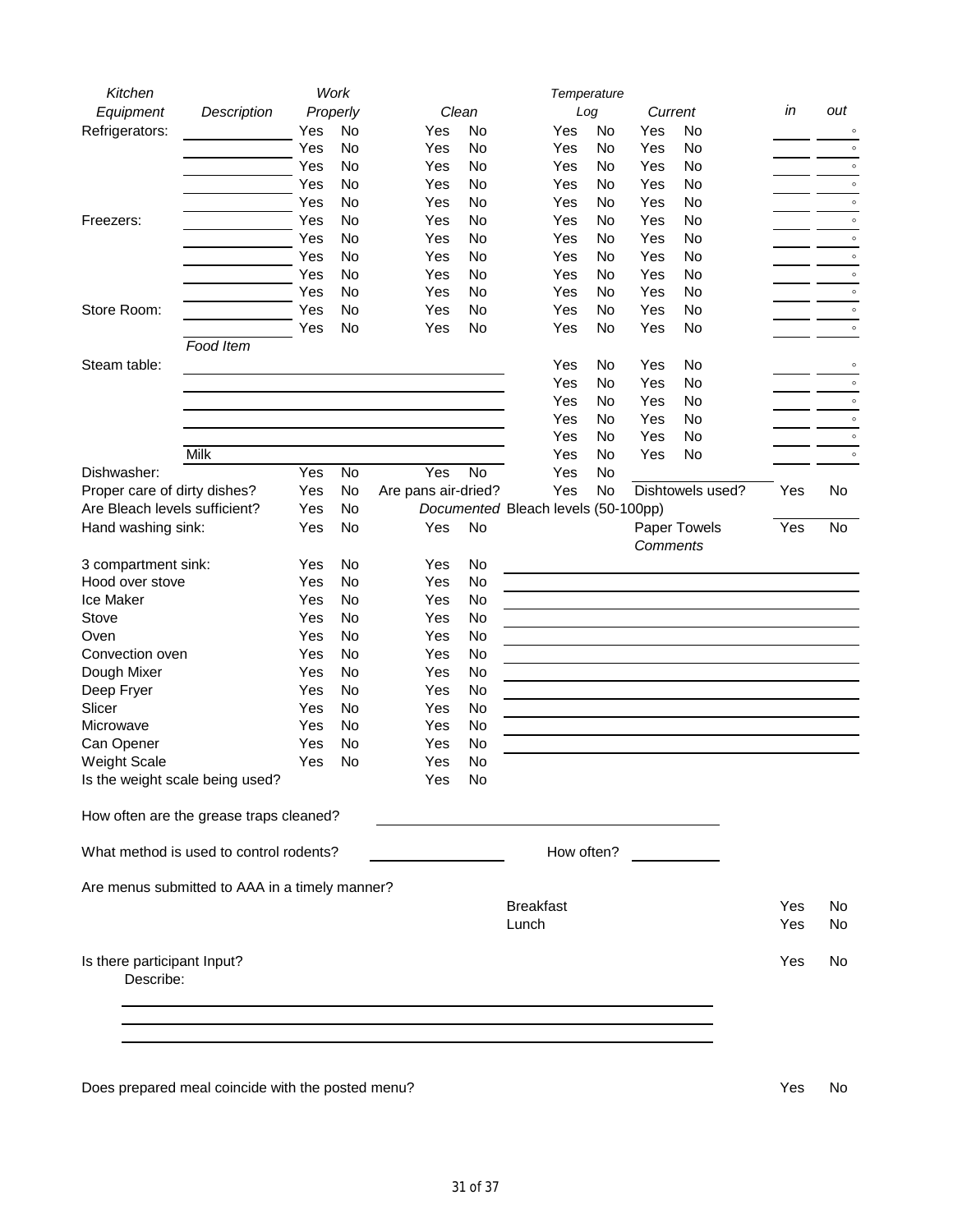| Kitchen                                        |             |          | Work |                     |           |                                     | Temperature |           |          |                  |     |         |
|------------------------------------------------|-------------|----------|------|---------------------|-----------|-------------------------------------|-------------|-----------|----------|------------------|-----|---------|
| Equipment                                      | Description | Properly |      |                     | Clean     |                                     | Log         |           | Current  |                  | in  | out     |
| Refrigerators:                                 |             | Yes      | No   | Yes                 | No        |                                     | Yes         | No        | Yes      | No               |     | $\circ$ |
|                                                |             | Yes      | No   | Yes                 | No        |                                     | Yes         | No        | Yes      | <b>No</b>        |     | $\circ$ |
|                                                |             | Yes      | No   | Yes                 | No        |                                     | Yes         | No        | Yes      | No               |     | $\circ$ |
|                                                |             | Yes      | No   | Yes                 | No        |                                     | Yes         | No        | Yes      | No               |     | $\circ$ |
|                                                |             | Yes      | No   | Yes                 | No        |                                     | Yes         | No        | Yes      | No               |     | $\circ$ |
| Freezers:                                      |             | Yes      | No   | Yes                 | No        |                                     | Yes         | No        | Yes      | No               |     | $\circ$ |
|                                                |             | Yes      | No   | Yes                 | No        |                                     | Yes         | No        | Yes      | No               |     | $\circ$ |
|                                                |             | Yes      | No   | Yes                 | No        |                                     | Yes         | No        | Yes      | No               |     | $\circ$ |
|                                                |             | Yes      | No   | Yes                 | <b>No</b> |                                     | Yes         | No        | Yes      | No               |     | $\circ$ |
|                                                |             | Yes      | No   | Yes                 | No        |                                     | Yes         | No        | Yes      | No               |     | $\circ$ |
| Store Room:                                    |             | Yes      | No   | Yes                 | No        |                                     | Yes         | <b>No</b> | Yes      | No               |     | $\circ$ |
|                                                |             | Yes      | No   | Yes                 | No        |                                     | Yes         | No        | Yes      | No               |     | $\circ$ |
| Food Item                                      |             |          |      |                     |           |                                     |             |           |          |                  |     |         |
| Steam table:                                   |             |          |      |                     |           |                                     | Yes         | No        | Yes      | No               |     | $\circ$ |
|                                                |             |          |      |                     |           |                                     | Yes         | No        | Yes      | No               |     | $\circ$ |
|                                                |             |          |      |                     |           |                                     |             |           |          |                  |     | $\circ$ |
|                                                |             |          |      |                     |           |                                     | Yes         | No        | Yes      | No               |     |         |
|                                                |             |          |      |                     |           |                                     | Yes         | No        | Yes      | <b>No</b>        |     | $\circ$ |
|                                                |             |          |      |                     |           |                                     | Yes         | No        | Yes      | No               |     | $\circ$ |
| Milk                                           |             |          |      |                     |           |                                     | Yes         | No        | Yes      | No               |     | $\circ$ |
| Dishwasher:                                    |             | Yes      | No   | Yes                 | No        |                                     | Yes         | No        |          |                  |     |         |
| Proper care of dirty dishes?                   |             | Yes      | No   | Are pans air-dried? |           |                                     | Yes         | No        |          | Dishtowels used? | Yes | No      |
| Are Bleach levels sufficient?                  |             | Yes      | No   |                     |           | Documented Bleach levels (50-100pp) |             |           |          |                  |     |         |
| Hand washing sink:                             |             | Yes      | No   | Yes                 | No        |                                     |             |           |          | Paper Towels     | Yes | No      |
|                                                |             |          |      |                     |           |                                     |             |           | Comments |                  |     |         |
| 3 compartment sink:                            |             | Yes      | No   | Yes                 | No        |                                     |             |           |          |                  |     |         |
| Hood over stove                                |             | Yes      | No   | Yes                 | No        |                                     |             |           |          |                  |     |         |
| Ice Maker                                      |             | Yes      | No   | Yes                 | No        |                                     |             |           |          |                  |     |         |
| Stove                                          |             | Yes      | No   | Yes                 | No        |                                     |             |           |          |                  |     |         |
| Oven                                           |             | Yes      | No   | Yes                 | No        |                                     |             |           |          |                  |     |         |
| Convection oven                                |             | Yes      | No   | Yes                 | No        |                                     |             |           |          |                  |     |         |
| Dough Mixer                                    |             | Yes      | No   | Yes                 | No        |                                     |             |           |          |                  |     |         |
| Deep Fryer                                     |             | Yes      | No   | Yes                 | No        |                                     |             |           |          |                  |     |         |
| Slicer                                         |             | Yes      | No   | Yes                 | No        |                                     |             |           |          |                  |     |         |
| Microwave                                      |             | Yes      | No   | Yes                 | No        |                                     |             |           |          |                  |     |         |
| Can Opener                                     |             | Yes      | No   | Yes                 | No        |                                     |             |           |          |                  |     |         |
| <b>Weight Scale</b>                            |             | Yes      | No   | Yes                 | No        |                                     |             |           |          |                  |     |         |
| Is the weight scale being used?                |             |          |      | Yes                 | No        |                                     |             |           |          |                  |     |         |
|                                                |             |          |      |                     |           |                                     |             |           |          |                  |     |         |
| How often are the grease traps cleaned?        |             |          |      |                     |           |                                     |             |           |          |                  |     |         |
| What method is used to control rodents?        |             |          |      |                     |           |                                     | How often?  |           |          |                  |     |         |
|                                                |             |          |      |                     |           |                                     |             |           |          |                  |     |         |
| Are menus submitted to AAA in a timely manner? |             |          |      |                     |           |                                     |             |           |          |                  |     |         |
|                                                |             |          |      |                     |           | <b>Breakfast</b>                    |             |           |          |                  | Yes | No.     |
|                                                |             |          |      |                     |           | Lunch                               |             |           |          |                  | Yes | No      |
| Is there participant Input?                    |             |          |      |                     |           |                                     |             |           |          |                  | Yes | No      |
| Describe:                                      |             |          |      |                     |           |                                     |             |           |          |                  |     |         |
|                                                |             |          |      |                     |           |                                     |             |           |          |                  |     |         |
|                                                |             |          |      |                     |           |                                     |             |           |          |                  |     |         |
|                                                |             |          |      |                     |           |                                     |             |           |          |                  |     |         |
|                                                |             |          |      |                     |           |                                     |             |           |          |                  |     |         |
|                                                |             |          |      |                     |           |                                     |             |           |          |                  |     |         |

Does prepared meal coincide with the posted menu? The state of the state of the SNO of the No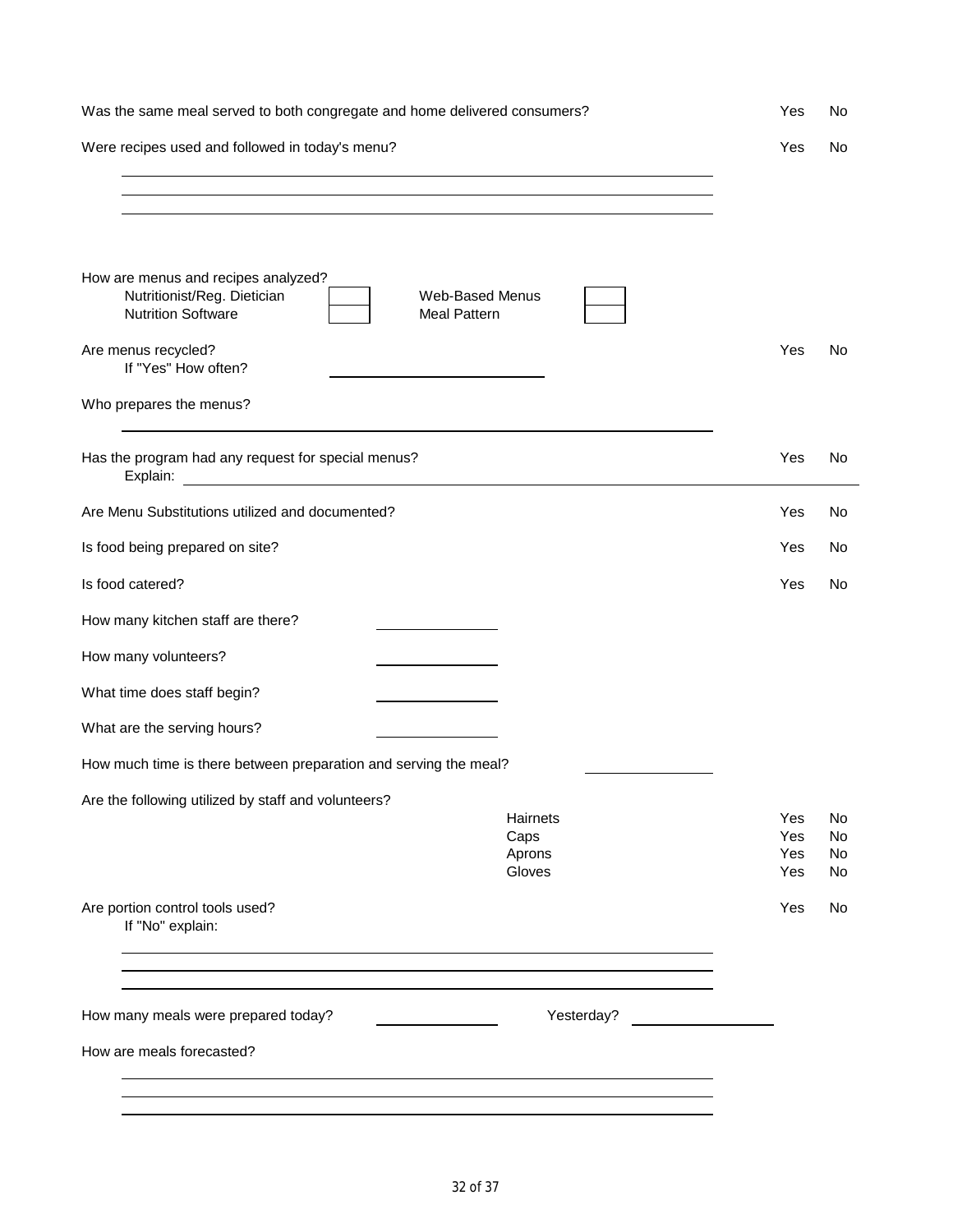| Was the same meal served to both congregate and home delivered consumers?                                                                        | Yes                                    | No                   |
|--------------------------------------------------------------------------------------------------------------------------------------------------|----------------------------------------|----------------------|
| Were recipes used and followed in today's menu?                                                                                                  | Yes                                    | No                   |
| ,我们也不会有什么。""我们的人,我们也不会有什么?""我们的人,我们也不会有什么?""我们的人,我们也不会有什么?""我们的人,我们也不会有什么?""我们的人                                                                 |                                        |                      |
|                                                                                                                                                  |                                        |                      |
|                                                                                                                                                  |                                        |                      |
| How are menus and recipes analyzed?<br>Nutritionist/Reg. Dietician<br><b>Web-Based Menus</b><br><b>Nutrition Software</b><br><b>Meal Pattern</b> |                                        |                      |
| Are menus recycled?<br>If "Yes" How often?                                                                                                       | Yes                                    | No                   |
| Who prepares the menus?                                                                                                                          |                                        |                      |
| Has the program had any request for special menus?                                                                                               | Yes                                    | No                   |
| Are Menu Substitutions utilized and documented?                                                                                                  | Yes                                    | No                   |
| Is food being prepared on site?                                                                                                                  | Yes                                    | No                   |
| Is food catered?                                                                                                                                 | Yes                                    | No                   |
| How many kitchen staff are there?                                                                                                                |                                        |                      |
| How many volunteers?                                                                                                                             |                                        |                      |
| What time does staff begin?                                                                                                                      |                                        |                      |
| What are the serving hours?                                                                                                                      |                                        |                      |
| How much time is there between preparation and serving the meal?                                                                                 |                                        |                      |
| Are the following utilized by staff and volunteers?<br>Hairnets<br>Caps<br>Aprons<br>Gloves                                                      | Yes<br>Yes<br><b>Yes</b><br><b>Yes</b> | No<br>No<br>No<br>No |
| Are portion control tools used?<br>If "No" explain:                                                                                              | Yes                                    | No                   |
| Yesterday?<br>How many meals were prepared today?                                                                                                |                                        |                      |
| How are meals forecasted?                                                                                                                        |                                        |                      |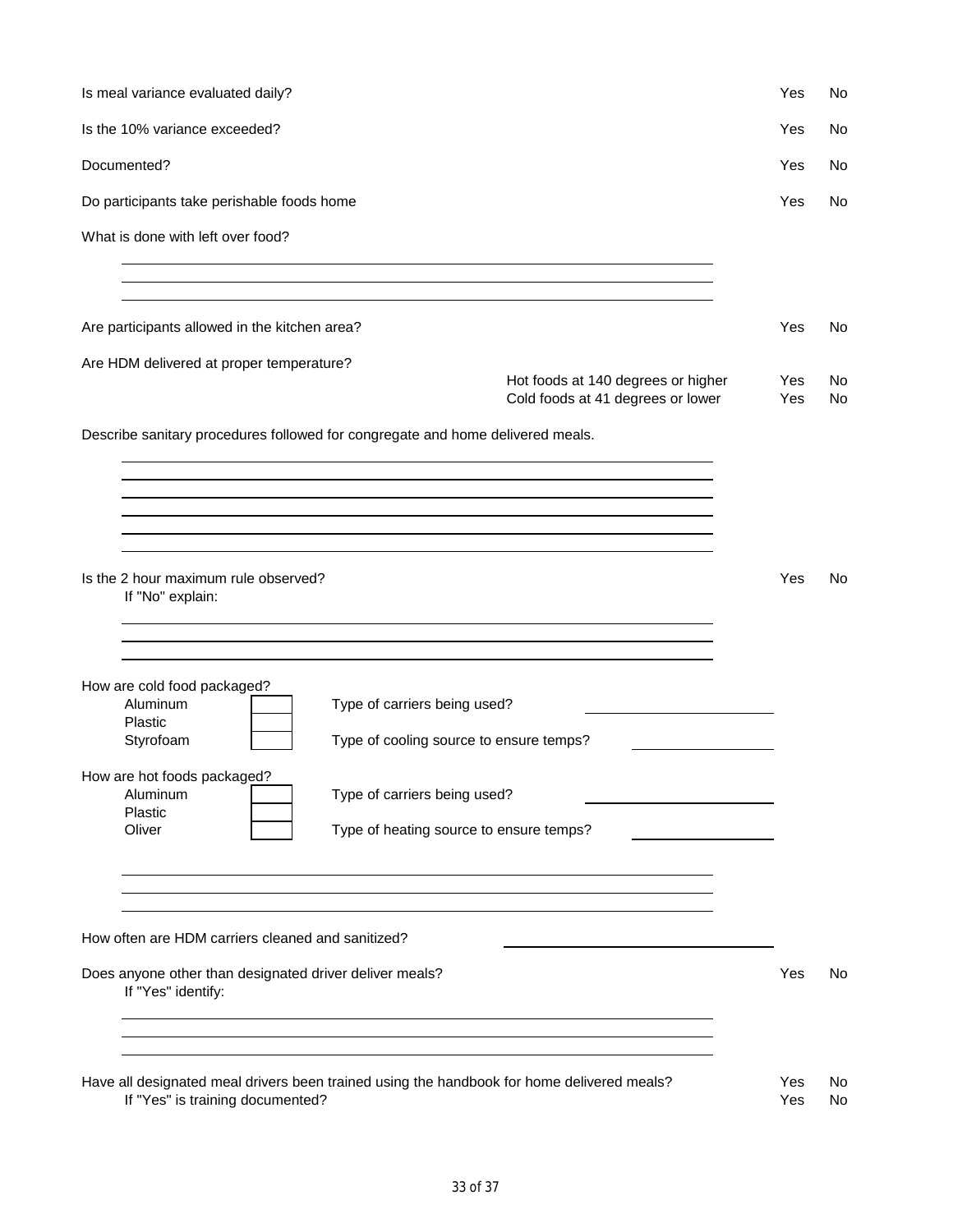| Is meal variance evaluated daily?                                                                                              | Yes        | No        |
|--------------------------------------------------------------------------------------------------------------------------------|------------|-----------|
| Is the 10% variance exceeded?                                                                                                  | Yes        | No        |
| Documented?                                                                                                                    | Yes        | No.       |
| Do participants take perishable foods home                                                                                     | Yes        | No.       |
| What is done with left over food?                                                                                              |            |           |
|                                                                                                                                |            |           |
| Are participants allowed in the kitchen area?                                                                                  | Yes        | No.       |
| Are HDM delivered at proper temperature?                                                                                       |            |           |
| Hot foods at 140 degrees or higher<br>Cold foods at 41 degrees or lower                                                        | Yes<br>Yes | No.<br>No |
| Describe sanitary procedures followed for congregate and home delivered meals.                                                 |            |           |
|                                                                                                                                |            |           |
|                                                                                                                                |            |           |
|                                                                                                                                |            |           |
| Is the 2 hour maximum rule observed?                                                                                           | Yes        | No.       |
| If "No" explain:                                                                                                               |            |           |
|                                                                                                                                |            |           |
| How are cold food packaged?                                                                                                    |            |           |
| Aluminum<br>Type of carriers being used?<br>Plastic                                                                            |            |           |
| Styrofoam<br>Type of cooling source to ensure temps?                                                                           |            |           |
| How are hot foods packaged?                                                                                                    |            |           |
| Type of carriers being used?<br>Aluminum<br>Plastic                                                                            |            |           |
| Oliver<br>Type of heating source to ensure temps?                                                                              |            |           |
|                                                                                                                                |            |           |
|                                                                                                                                |            |           |
| How often are HDM carriers cleaned and sanitized?                                                                              |            |           |
| Does anyone other than designated driver deliver meals?<br>If "Yes" identify:                                                  | Yes        | No        |
|                                                                                                                                |            |           |
|                                                                                                                                |            |           |
| Have all designated meal drivers been trained using the handbook for home delivered meals?<br>If "Yes" is training documented? | Yes<br>Yes | No<br>No  |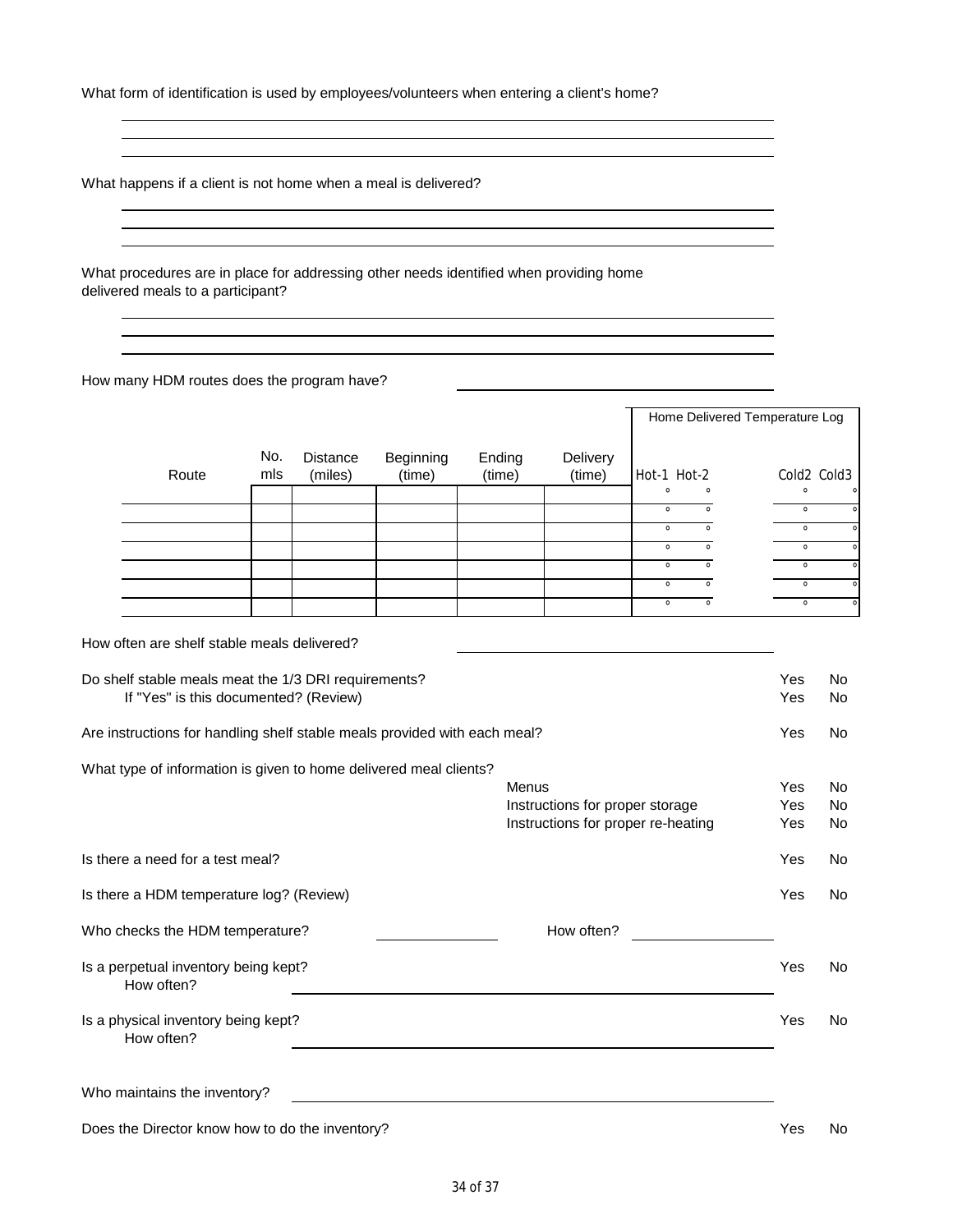What form of identification is used by employees/volunteers when entering a client's home?

What happens if a client is not home when a meal is delivered?

What procedures are in place for addressing other needs identified when providing home delivered meals to a participant?

How many HDM routes does the program have?

|       |            |                            |                     |                  |                    |         | Home Delivered Temperature Log |  |         |             |
|-------|------------|----------------------------|---------------------|------------------|--------------------|---------|--------------------------------|--|---------|-------------|
| Route | No.<br>mls | <b>Distance</b><br>(miles) | Beginning<br>(time) | Ending<br>(time) | Delivery<br>(time) |         | Hot-1 Hot-2                    |  |         | Cold2 Cold3 |
|       |            |                            |                     |                  |                    | $\circ$ | $\circ$                        |  | $\circ$ |             |
|       |            |                            |                     |                  |                    | $\circ$ |                                |  |         |             |
|       |            |                            |                     |                  |                    | $\circ$ |                                |  |         |             |
|       |            |                            |                     |                  |                    | $\circ$ | $\Omega$                       |  | $\circ$ | $\circ$     |
|       |            |                            |                     |                  |                    | $\circ$ |                                |  | $\circ$ |             |
|       |            |                            |                     |                  |                    | $\circ$ |                                |  | $\circ$ | $\Omega$    |
|       |            |                            |                     |                  |                    | $\circ$ | $\Omega$                       |  | $\circ$ | $\circ$     |

How often are shelf stable meals delivered?

| Do shelf stable meals meat the 1/3 DRI requirements?<br>If "Yes" is this documented? (Review) |                                                                       | Yes<br>Yes | No.<br>No |
|-----------------------------------------------------------------------------------------------|-----------------------------------------------------------------------|------------|-----------|
| Are instructions for handling shelf stable meals provided with each meal?                     |                                                                       | Yes        | No.       |
| What type of information is given to home delivered meal clients?                             | Menus                                                                 | Yes        | No.       |
|                                                                                               | Instructions for proper storage<br>Instructions for proper re-heating | Yes<br>Yes | No.<br>No |
| Is there a need for a test meal?                                                              |                                                                       | Yes        | No        |
| Is there a HDM temperature log? (Review)                                                      |                                                                       | Yes        | No.       |
| Who checks the HDM temperature?                                                               | How often?                                                            |            |           |
| Is a perpetual inventory being kept?<br>How often?                                            |                                                                       | Yes        | No.       |
| Is a physical inventory being kept?<br>How often?                                             |                                                                       | Yes        | No.       |
| Who maintains the inventory?                                                                  |                                                                       |            |           |
| Does the Director know how to do the inventory?                                               |                                                                       | Yes        | No        |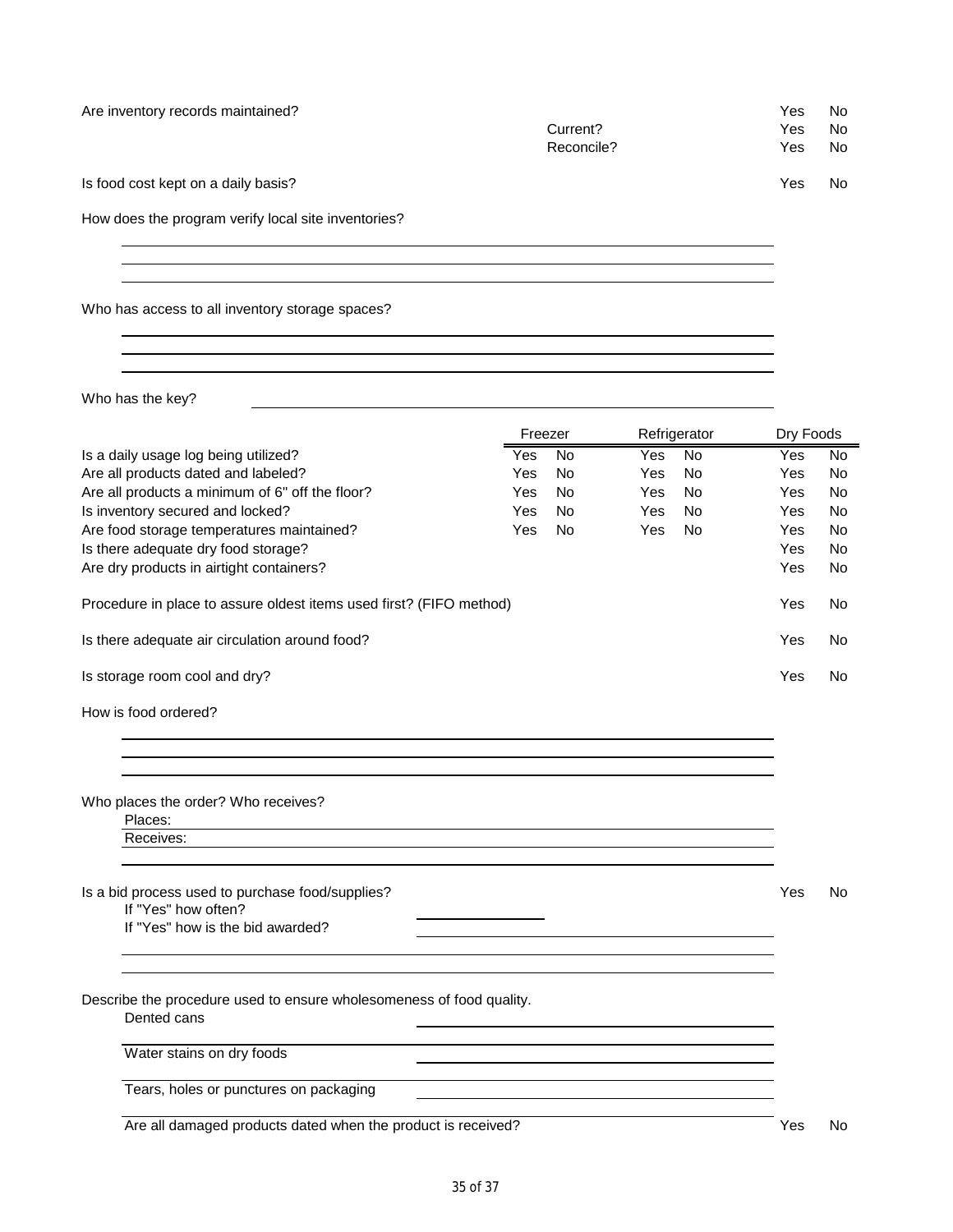| Is food cost kept on a daily basis?                                                 |         |           |            |              | Yes       | No        |
|-------------------------------------------------------------------------------------|---------|-----------|------------|--------------|-----------|-----------|
| How does the program verify local site inventories?                                 |         |           |            |              |           |           |
|                                                                                     |         |           |            |              |           |           |
| Who has access to all inventory storage spaces?                                     |         |           |            |              |           |           |
|                                                                                     |         |           |            |              |           |           |
| Who has the key?                                                                    |         |           |            |              |           |           |
|                                                                                     | Freezer |           |            | Refrigerator | Dry Foods |           |
| Is a daily usage log being utilized?                                                | Yes     | <b>No</b> | <b>Yes</b> | <b>No</b>    | Yes       | <b>No</b> |
| Are all products dated and labeled?                                                 | Yes     | <b>No</b> | Yes        | <b>No</b>    | Yes       | <b>No</b> |
| Are all products a minimum of 6" off the floor?                                     | Yes     | <b>No</b> | Yes        | <b>No</b>    | Yes       | <b>No</b> |
| Is inventory secured and locked?                                                    | Yes     | <b>No</b> | Yes        | <b>No</b>    | Yes       | <b>No</b> |
| Are food storage temperatures maintained?                                           | Yes     | <b>No</b> | Yes        | <b>No</b>    | Yes       | <b>No</b> |
| Is there adequate dry food storage?                                                 |         |           |            |              | Yes       | No        |
| Are dry products in airtight containers?                                            |         |           |            |              | Yes       | <b>No</b> |
| Procedure in place to assure oldest items used first? (FIFO method)                 |         |           |            |              | Yes       | No        |
| Is there adequate air circulation around food?                                      |         |           |            |              | Yes       | No        |
| Is storage room cool and dry?                                                       |         |           |            |              | Yes       | No        |
| How is food ordered?                                                                |         |           |            |              |           |           |
|                                                                                     |         |           |            |              |           |           |
| Who places the order? Who receives?<br>Places:                                      |         |           |            |              |           |           |
| Receives:                                                                           |         |           |            |              |           |           |
| Is a bid process used to purchase food/supplies?<br>If "Yes" how often?             |         |           |            |              | Yes       | No        |
| If "Yes" how is the bid awarded?                                                    |         |           |            |              |           |           |
|                                                                                     |         |           |            |              |           |           |
| Describe the procedure used to ensure wholesomeness of food quality.<br>Dented cans |         |           |            |              |           |           |
| Water stains on dry foods                                                           |         |           |            |              |           |           |
| Tears, holes or punctures on packaging                                              |         |           |            |              |           |           |
|                                                                                     |         |           |            |              |           |           |
| Are all damaged products dated when the product is received?                        |         |           |            |              | Yes       | No        |

Are inventory records maintained?<br>
Are inventory records maintained?<br>
Ves No

Current?

Reconcile? The Yes No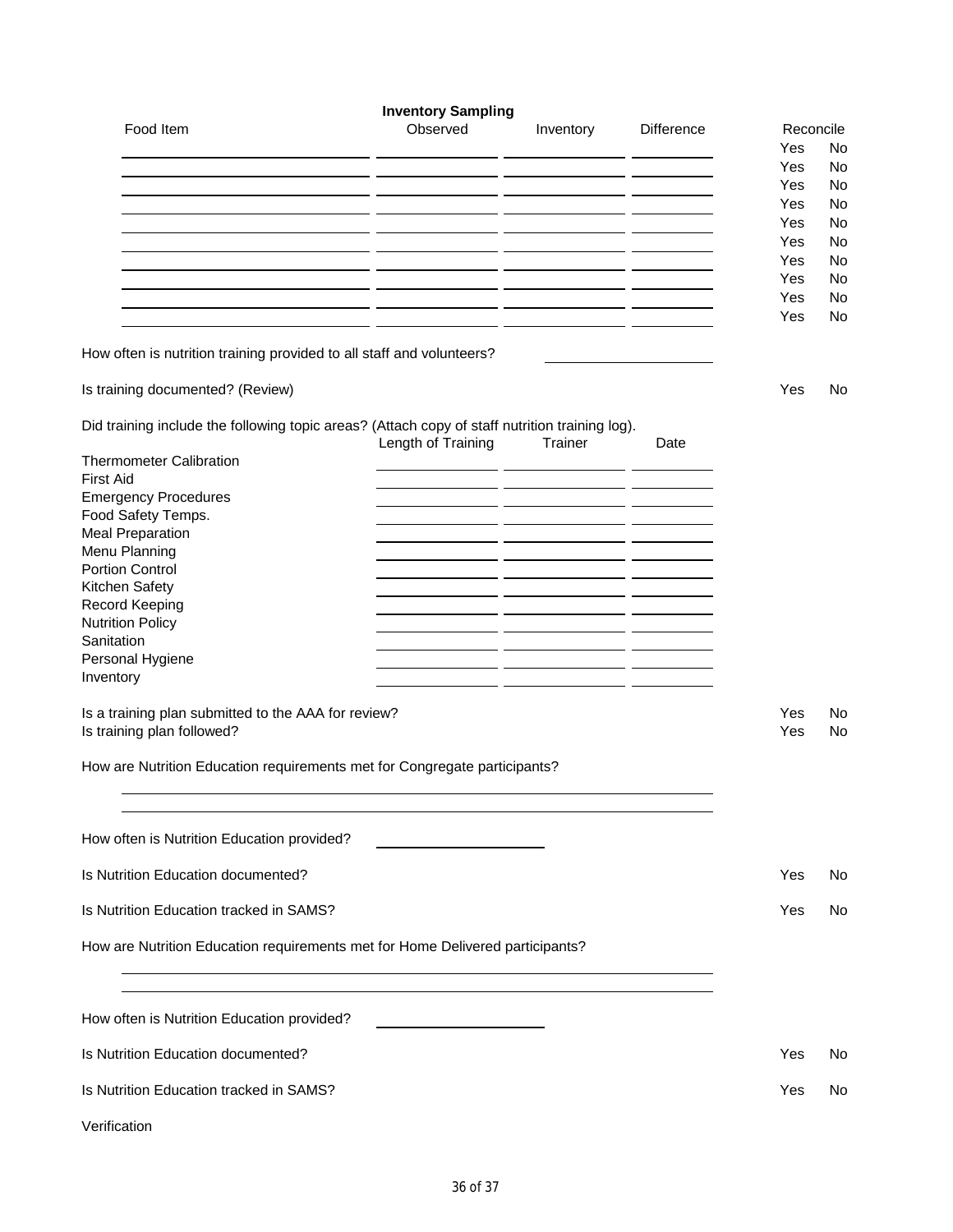|                                                                                                | <b>Inventory Sampling</b>        |           |                   |            |          |
|------------------------------------------------------------------------------------------------|----------------------------------|-----------|-------------------|------------|----------|
| Food Item                                                                                      | Observed                         | Inventory | <b>Difference</b> | Reconcile  |          |
|                                                                                                | <b><i><u>Participals</u></i></b> |           |                   | Yes        | No       |
|                                                                                                |                                  |           |                   | Yes<br>Yes | No<br>No |
|                                                                                                |                                  |           |                   | Yes        | No       |
|                                                                                                |                                  |           |                   | Yes        | No       |
|                                                                                                |                                  |           |                   | Yes        | No       |
|                                                                                                |                                  |           |                   | Yes        | No       |
|                                                                                                |                                  |           |                   | Yes        | No       |
|                                                                                                |                                  |           |                   | Yes<br>Yes | No       |
|                                                                                                |                                  |           |                   |            | No       |
| How often is nutrition training provided to all staff and volunteers?                          |                                  |           |                   |            |          |
| Is training documented? (Review)                                                               |                                  |           |                   | Yes        | No       |
| Did training include the following topic areas? (Attach copy of staff nutrition training log). | Length of Training               | Trainer   | Date              |            |          |
| <b>Thermometer Calibration</b>                                                                 |                                  |           |                   |            |          |
| <b>First Aid</b>                                                                               |                                  |           |                   |            |          |
| <b>Emergency Procedures</b>                                                                    |                                  |           |                   |            |          |
| Food Safety Temps.<br><b>Meal Preparation</b>                                                  |                                  |           |                   |            |          |
| Menu Planning                                                                                  |                                  |           |                   |            |          |
| <b>Portion Control</b>                                                                         |                                  |           |                   |            |          |
| Kitchen Safety                                                                                 |                                  |           |                   |            |          |
| Record Keeping                                                                                 |                                  |           |                   |            |          |
| <b>Nutrition Policy</b>                                                                        |                                  |           |                   |            |          |
| Sanitation<br>Personal Hygiene                                                                 |                                  |           |                   |            |          |
| Inventory                                                                                      |                                  |           |                   |            |          |
|                                                                                                |                                  |           |                   |            |          |
| Is a training plan submitted to the AAA for review?<br>Is training plan followed?              |                                  |           |                   | Yes<br>Yes | No<br>No |
| How are Nutrition Education requirements met for Congregate participants?                      |                                  |           |                   |            |          |
|                                                                                                |                                  |           |                   |            |          |
| How often is Nutrition Education provided?                                                     |                                  |           |                   |            |          |
| Is Nutrition Education documented?                                                             |                                  |           |                   | Yes        | No       |
|                                                                                                |                                  |           |                   |            |          |
| Is Nutrition Education tracked in SAMS?                                                        |                                  |           |                   | Yes        | No       |
| How are Nutrition Education requirements met for Home Delivered participants?                  |                                  |           |                   |            |          |
|                                                                                                |                                  |           |                   |            |          |
| How often is Nutrition Education provided?                                                     |                                  |           |                   |            |          |
| Is Nutrition Education documented?                                                             |                                  |           |                   | Yes        | No       |
| Is Nutrition Education tracked in SAMS?                                                        |                                  |           |                   | Yes        | No       |
| Verification                                                                                   |                                  |           |                   |            |          |